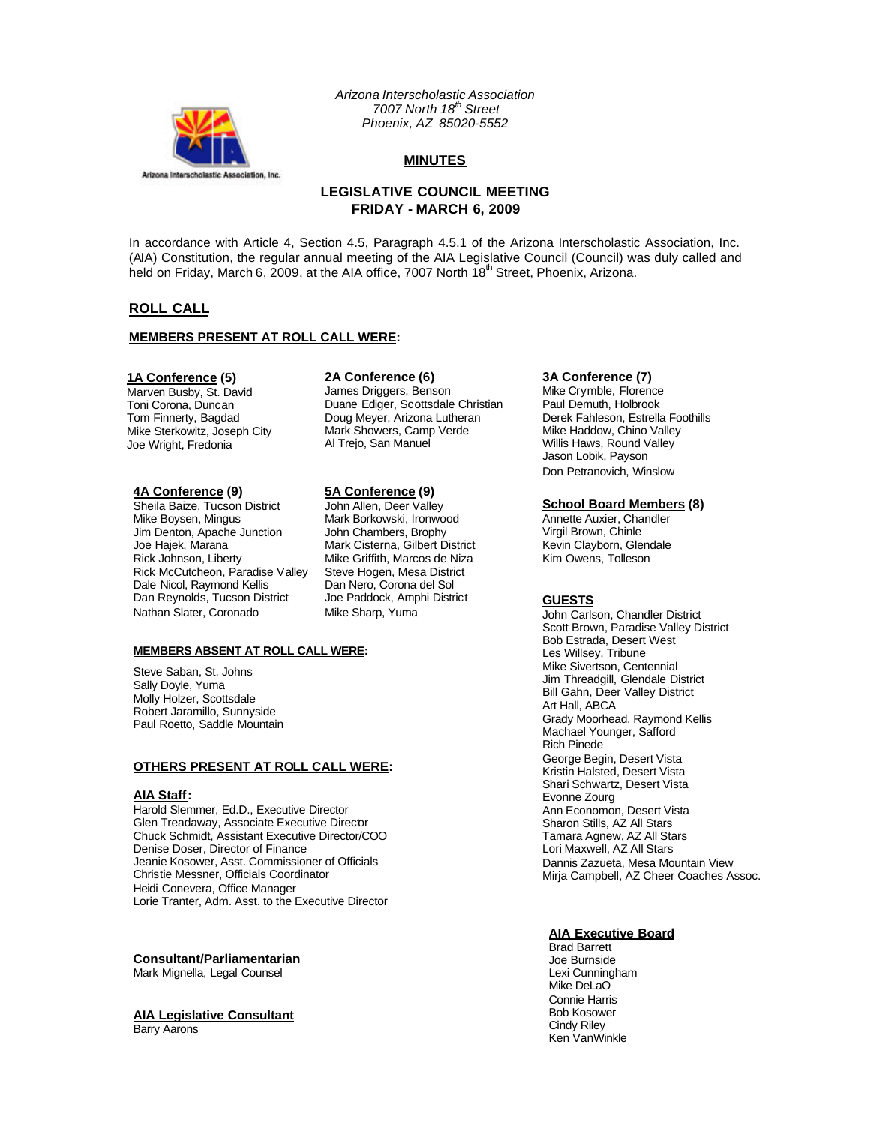

*Arizona Interscholastic Association 7007 North 18th Street Phoenix, AZ 85020-5552*

# **MINUTES**

# **LEGISLATIVE COUNCIL MEETING FRIDAY - MARCH 6, 2009**

In accordance with Article 4, Section 4.5, Paragraph 4.5.1 of the Arizona Interscholastic Association, Inc. (AIA) Constitution, the regular annual meeting of the AIA Legislative Council (Council) was duly called and held on Friday, March 6, 2009, at the AIA office, 7007 North 18<sup>th</sup> Street, Phoenix, Arizona.

# **ROLL CALL**

### **MEMBERS PRESENT AT ROLL CALL WERE:**

### **1A Conference (5)**

Marven Busby, St. David Toni Corona, Duncan Tom Finnerty, Bagdad Mike Sterkowitz, Joseph City Joe Wright, Fredonia

# **4A Conference (9)**

Sheila Baize, Tucson District Mike Boysen, Mingus Jim Denton, Apache Junction Joe Hajek, Marana Rick Johnson, Liberty Rick McCutcheon, Paradise Valley Dale Nicol, Raymond Kellis Dan Reynolds, Tucson District Nathan Slater, Coronado

#### **2A Conference (6)**

James Driggers, Benson Duane Ediger, Scottsdale Christian Doug Meyer, Arizona Lutheran Mark Showers, Camp Verde Al Trejo, San Manuel

# **5A Conference (9)**

John Allen, Deer Valley Mark Borkowski, Ironwood John Chambers, Brophy Mark Cisterna, Gilbert District Mike Griffith, Marcos de Niza Steve Hogen, Mesa District Dan Nero, Corona del Sol Joe Paddock, Amphi District Mike Sharp, Yuma

#### **MEMBERS ABSENT AT ROLL CALL WERE:**

Steve Saban, St. Johns Sally Doyle, Yuma Molly Holzer, Scottsdale Robert Jaramillo, Sunnyside Paul Roetto, Saddle Mountain

#### **OTHERS PRESENT AT ROLL CALL WERE:**

#### **AIA Staff:**

Harold Slemmer, Ed.D., Executive Director Glen Treadaway, Associate Executive Director Chuck Schmidt, Assistant Executive Director/COO Denise Doser, Director of Finance Jeanie Kosower, Asst. Commissioner of Officials Christie Messner, Officials Coordinator Heidi Conevera, Office Manager Lorie Tranter, Adm. Asst. to the Executive Director

# **Consultant/Parliamentarian**

Mark Mignella, Legal Counsel

# **AIA Legislative Consultant**

Barry Aarons

# **3A Conference (7)**

Mike Crymble, Florence Paul Demuth, Holbrook Derek Fahleson, Estrella Foothills Mike Haddow, Chino Valley Willis Haws, Round Valley Jason Lobik, Payson Don Petranovich, Winslow

#### **School Board Members (8)**

Annette Auxier, Chandler Virgil Brown, Chinle Kevin Clayborn, Glendale Kim Owens, Tolleson

## **GUESTS**

John Carlson, Chandler District Scott Brown, Paradise Valley District Bob Estrada, Desert West Les Willsey, Tribune Mike Sivertson, Centennial Jim Threadgill, Glendale District Bill Gahn, Deer Valley District Art Hall, ABCA Grady Moorhead, Raymond Kellis Machael Younger, Safford Rich Pinede George Begin, Desert Vista Kristin Halsted, Desert Vista Shari Schwartz, Desert Vista Evonne Zourg Ann Economon, Desert Vista Sharon Stills, AZ All Stars Tamara Agnew, AZ All Stars Lori Maxwell, AZ All Stars Dannis Zazueta, Mesa Mountain View Mirja Campbell, AZ Cheer Coaches Assoc.

### **AIA Executive Board**

Brad Barrett Joe Burnside Lexi Cunningham Mike DeLaO Connie Harris Bob Kosower Cindy Riley Ken VanWinkle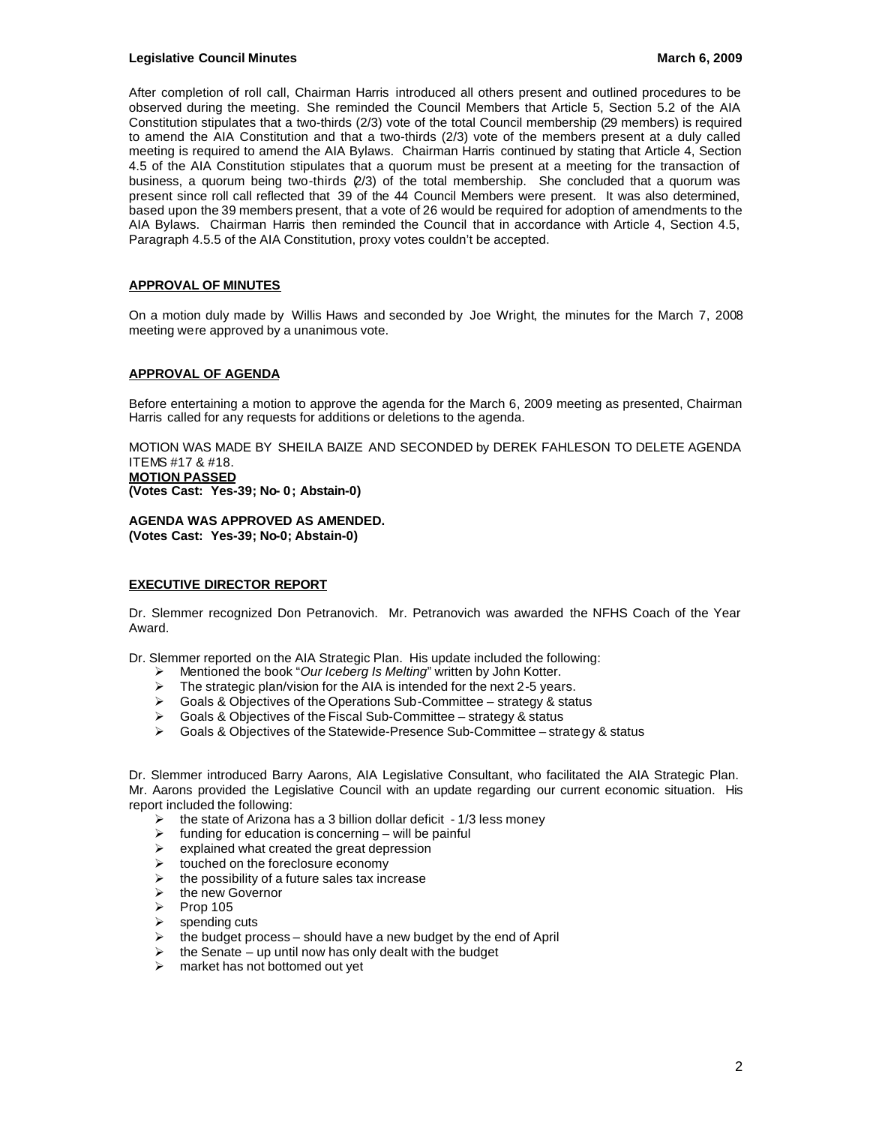### **Legislative Council Minutes March 6, 2009**

After completion of roll call, Chairman Harris introduced all others present and outlined procedures to be observed during the meeting. She reminded the Council Members that Article 5, Section 5.2 of the AIA Constitution stipulates that a two-thirds (2/3) vote of the total Council membership (29 members) is required to amend the AIA Constitution and that a two-thirds (2/3) vote of the members present at a duly called meeting is required to amend the AIA Bylaws. Chairman Harris continued by stating that Article 4, Section 4.5 of the AIA Constitution stipulates that a quorum must be present at a meeting for the transaction of business, a quorum being two-thirds (2/3) of the total membership. She concluded that a quorum was present since roll call reflected that 39 of the 44 Council Members were present. It was also determined, based upon the 39 members present, that a vote of 26 would be required for adoption of amendments to the AIA Bylaws. Chairman Harris then reminded the Council that in accordance with Article 4, Section 4.5, Paragraph 4.5.5 of the AIA Constitution, proxy votes couldn't be accepted.

### **APPROVAL OF MINUTES**

On a motion duly made by Willis Haws and seconded by Joe Wright, the minutes for the March 7, 2008 meeting were approved by a unanimous vote.

### **APPROVAL OF AGENDA**

Before entertaining a motion to approve the agenda for the March 6, 2009 meeting as presented, Chairman Harris called for any requests for additions or deletions to the agenda.

MOTION WAS MADE BY SHEILA BAIZE AND SECONDED by DEREK FAHLESON TO DELETE AGENDA ITEMS #17 & #18. **MOTION PASSED (Votes Cast: Yes-39; No- 0; Abstain-0)**

**AGENDA WAS APPROVED AS AMENDED. (Votes Cast: Yes-39; No-0; Abstain-0)**

### **EXECUTIVE DIRECTOR REPORT**

Dr. Slemmer recognized Don Petranovich. Mr. Petranovich was awarded the NFHS Coach of the Year Award.

Dr. Slemmer reported on the AIA Strategic Plan. His update included the following:

- Mentioned the book "Our Iceberg Is Melting" written by John Kotter.
- $\triangleright$  The strategic plan/vision for the AIA is intended for the next 2-5 years.
- $\triangleright$  Goals & Objectives of the Operations Sub-Committee strategy & status
- $\triangleright$  Goals & Objectives of the Fiscal Sub-Committee strategy & status
- Goals & Objectives of the Statewide-Presence Sub-Committee strategy & status

Dr. Slemmer introduced Barry Aarons, AIA Legislative Consultant, who facilitated the AIA Strategic Plan. Mr. Aarons provided the Legislative Council with an update regarding our current economic situation. His report included the following:

- $\triangleright$  the state of Arizona has a 3 billion dollar deficit 1/3 less money
- $\triangleright$  funding for education is concerning will be painful
- $\triangleright$  explained what created the great depression<br> $\triangleright$  touched on the foreclosure economy
- touched on the foreclosure economy
- $\triangleright$  the possibility of a future sales tax increase<br>  $\triangleright$  the new Governor
- $\ge$  the new Governor<br> $\ge$  Prop 105
- $\triangleright$  Prop 105<br>  $\triangleright$  spending
- $\geq$  spending cuts<br> $\geq$  the budget pro
- the budget process should have a new budget by the end of April
- $\triangleright$  the Senate up until now has only dealt with the budget<br>  $\triangleright$  market has not bottomed out vet
- market has not bottomed out yet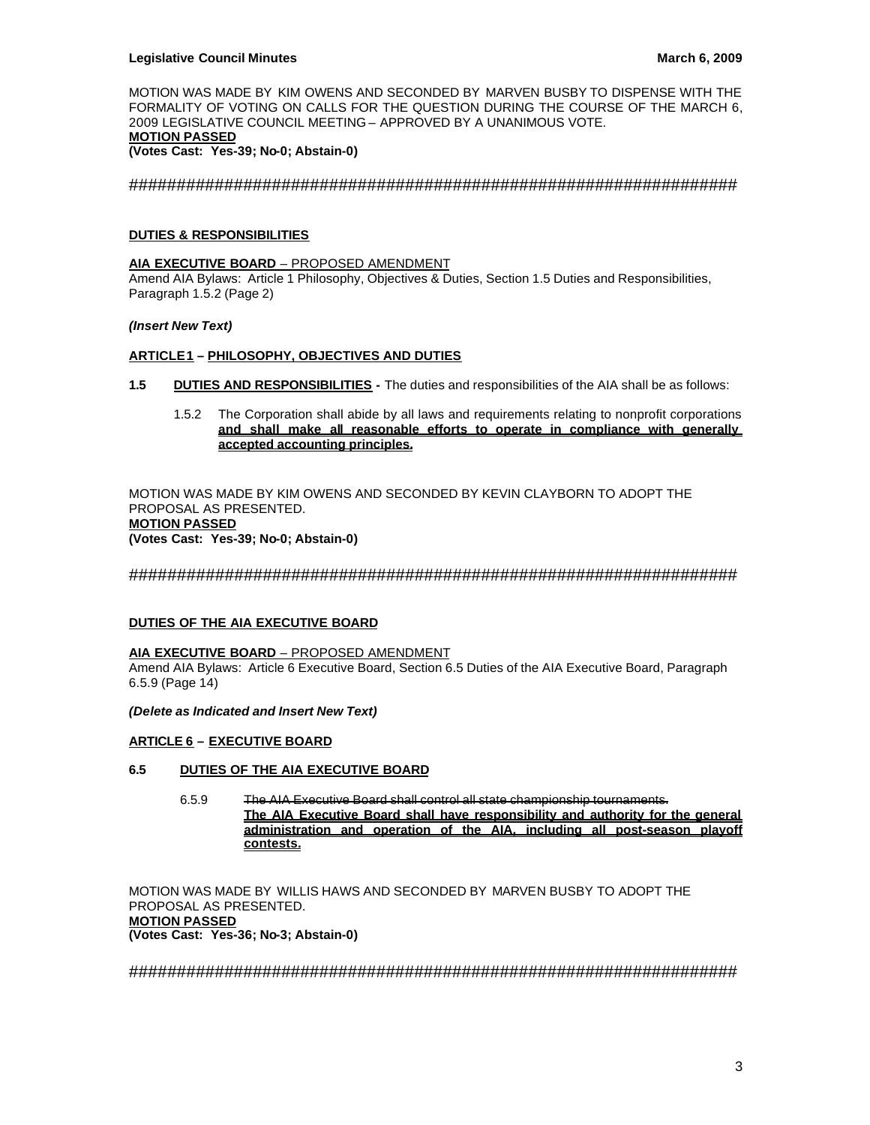MOTION WAS MADE BY KIM OWENS AND SECONDED BY MARVEN BUSBY TO DISPENSE WITH THE FORMALITY OF VOTING ON CALLS FOR THE QUESTION DURING THE COURSE OF THE MARCH 6, 2009 LEGISLATIVE COUNCIL MEETING – APPROVED BY A UNANIMOUS VOTE. **MOTION PASSED (Votes Cast: Yes-39; No-0; Abstain-0)**

################################################################

## **DUTIES & RESPONSIBILITIES**

**AIA EXECUTIVE BOARD** – PROPOSED AMENDMENT

Amend AIA Bylaws: Article 1 Philosophy, Objectives & Duties, Section 1.5 Duties and Responsibilities, Paragraph 1.5.2 (Page 2)

### *(Insert New Text)*

### **ARTICLE 1 – PHILOSOPHY, OBJECTIVES AND DUTIES**

- **1.5 DUTIES AND RESPONSIBILITIES -** The duties and responsibilities of the AIA shall be as follows:
	- 1.5.2 The Corporation shall abide by all laws and requirements relating to nonprofit corporations **and shall make all reasonable efforts to operate in compliance with generally accepted accounting principles.**

MOTION WAS MADE BY KIM OWENS AND SECONDED BY KEVIN CLAYBORN TO ADOPT THE PROPOSAL AS PRESENTED. **MOTION PASSED (Votes Cast: Yes-39; No-0; Abstain-0)**

################################################################

### **DUTIES OF THE AIA EXECUTIVE BOARD**

#### **AIA EXECUTIVE BOARD** – PROPOSED AMENDMENT

Amend AIA Bylaws: Article 6 Executive Board, Section 6.5 Duties of the AIA Executive Board, Paragraph 6.5.9 (Page 14)

*(Delete as Indicated and Insert New Text)*

## **ARTICLE 6 – EXECUTIVE BOARD**

### **6.5 DUTIES OF THE AIA EXECUTIVE BOARD**

6.5.9 The AIA Executive Board shall control all state championship tournaments. **The AIA Executive Board shall have responsibility and authority for the general administration and operation of the AIA, including all post-season playoff contests.**

MOTION WAS MADE BY WILLIS HAWS AND SECONDED BY MARVEN BUSBY TO ADOPT THE PROPOSAL AS PRESENTED. **MOTION PASSED (Votes Cast: Yes-36; No-3; Abstain-0)**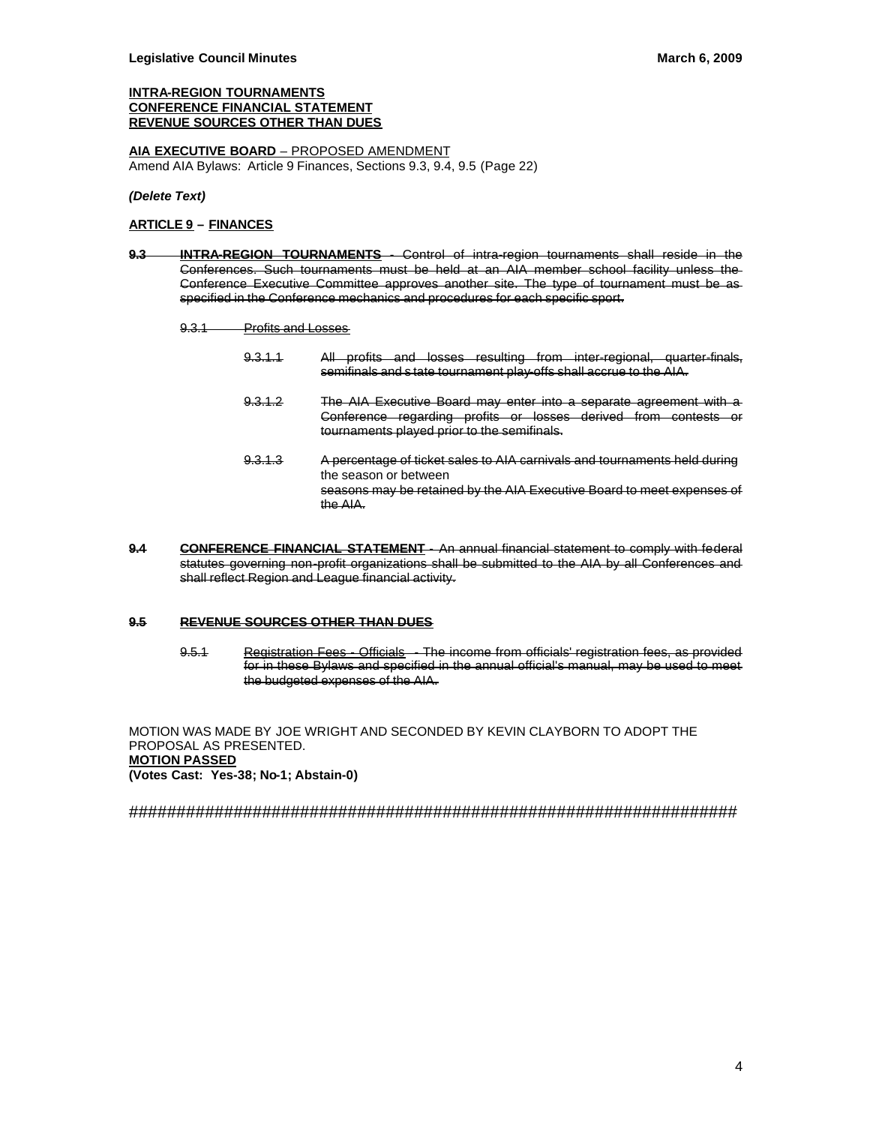### **INTRA-REGION TOURNAMENTS CONFERENCE FINANCIAL STATEMENT REVENUE SOURCES OTHER THAN DUES**

**AIA EXECUTIVE BOARD** – PROPOSED AMENDMENT Amend AIA Bylaws: Article 9 Finances, Sections 9.3, 9.4, 9.5 (Page 22)

*(Delete Text)*

### **ARTICLE 9 – FINANCES**

- **9.3 INTRA-REGION TOURNAMENTS** Control of intra-region tournaments shall reside in the Conferences. Such tournaments must be held at an AIA member school facility unless the Conference Executive Committee approves another site. The type of tournament must be as specified in the Conference mechanics and procedures for each specific sport.
	- 9.3.1 Profits and Losses
		- 9.3.1.1 All profits and losses resulting from inter-regional, quarter-finals, semifinals and s tate tournament play-offs shall accrue to the AIA.
		- 9.3.1.2 The AIA Executive Board may enter into a separate agreement with a Conference regarding profits or losses derived from contests or tournaments played prior to the semifinals.
		- 9.3.1.3 A percentage of ticket sales to AIA carnivals and tournaments held during the season or between seasons may be retained by the AIA Executive Board to meet expenses of the AIA.
- **9.4 CONFERENCE FINANCIAL STATEMENT** An annual financial statement to comply with federal statutes governing non-profit organizations shall be submitted to the AIA by all Conferences and shall reflect Region and League financial activity.

### **9.5 REVENUE SOURCES OTHER THAN DUES**

9.5.1 Registration Fees - Officials - The income from officials' registration fees, as provided for in these Bylaws and specified in the annual official's manual, may be used to meet the budgeted expenses of the AIA.

MOTION WAS MADE BY JOE WRIGHT AND SECONDED BY KEVIN CLAYBORN TO ADOPT THE PROPOSAL AS PRESENTED. **MOTION PASSED (Votes Cast: Yes-38; No-1; Abstain-0)**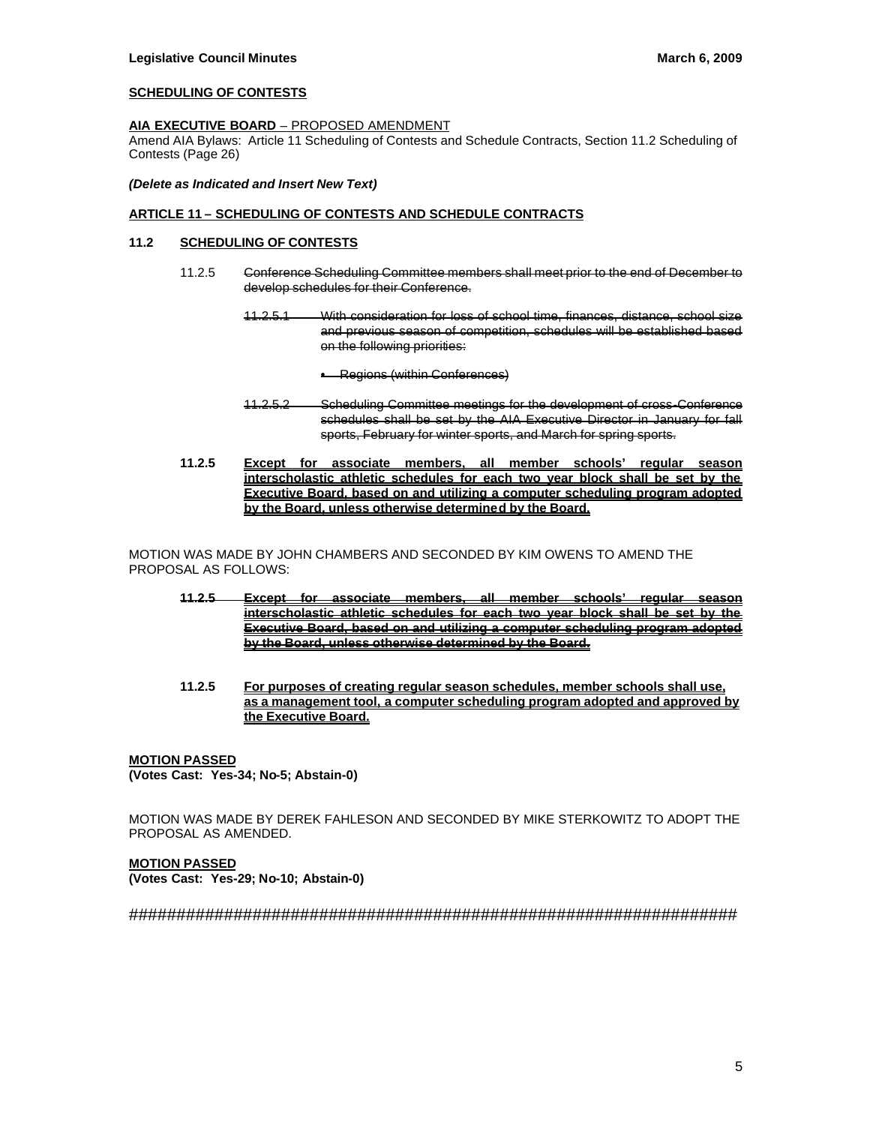### **SCHEDULING OF CONTESTS**

### **AIA EXECUTIVE BOARD** – PROPOSED AMENDMENT

Amend AIA Bylaws: Article 11 Scheduling of Contests and Schedule Contracts, Section 11.2 Scheduling of Contests (Page 26)

#### *(Delete as Indicated and Insert New Text)*

### **ARTICLE 11 – SCHEDULING OF CONTESTS AND SCHEDULE CONTRACTS**

## **11.2 SCHEDULING OF CONTESTS**

- 11.2.5 Conference Scheduling Committee members shall meet prior to the end of December to develop schedules for their Conference.
	- 11.2.5.1 With consideration for loss of school time, finances, distance, school size and previous season of competition, schedules will be established based on the following priorities:
		- Regions (within Conferences)
	- 11.2.5.2 Scheduling Committee meetings for the development of cross-Conference schedules shall be set by the AIA Executive Director in January for fall sports, February for winter sports, and March for spring sports.
- **11.2.5 Except for associate members, all member schools' regular season interscholastic athletic schedules for each two year block shall be set by the Executive Board, based on and utilizing a computer scheduling program adopted by the Board, unless otherwise determined by the Board.**

MOTION WAS MADE BY JOHN CHAMBERS AND SECONDED BY KIM OWENS TO AMEND THE PROPOSAL AS FOLLOWS:

- **11.2.5 Except for associate members, all member schools' regular season interscholastic athletic schedules for each two year block shall be set by the Executive Board, based on and utilizing a computer scheduling program adopted by the Board, unless otherwise determined by the Board.**
- **11.2.5 For purposes of creating regular season schedules, member schools shall use, as a management tool, a computer scheduling program adopted and approved by the Executive Board.**

#### **MOTION PASSED (Votes Cast: Yes-34; No-5; Abstain-0)**

MOTION WAS MADE BY DEREK FAHLESON AND SECONDED BY MIKE STERKOWITZ TO ADOPT THE PROPOSAL AS AMENDED.

**MOTION PASSED (Votes Cast: Yes-29; No-10; Abstain-0)**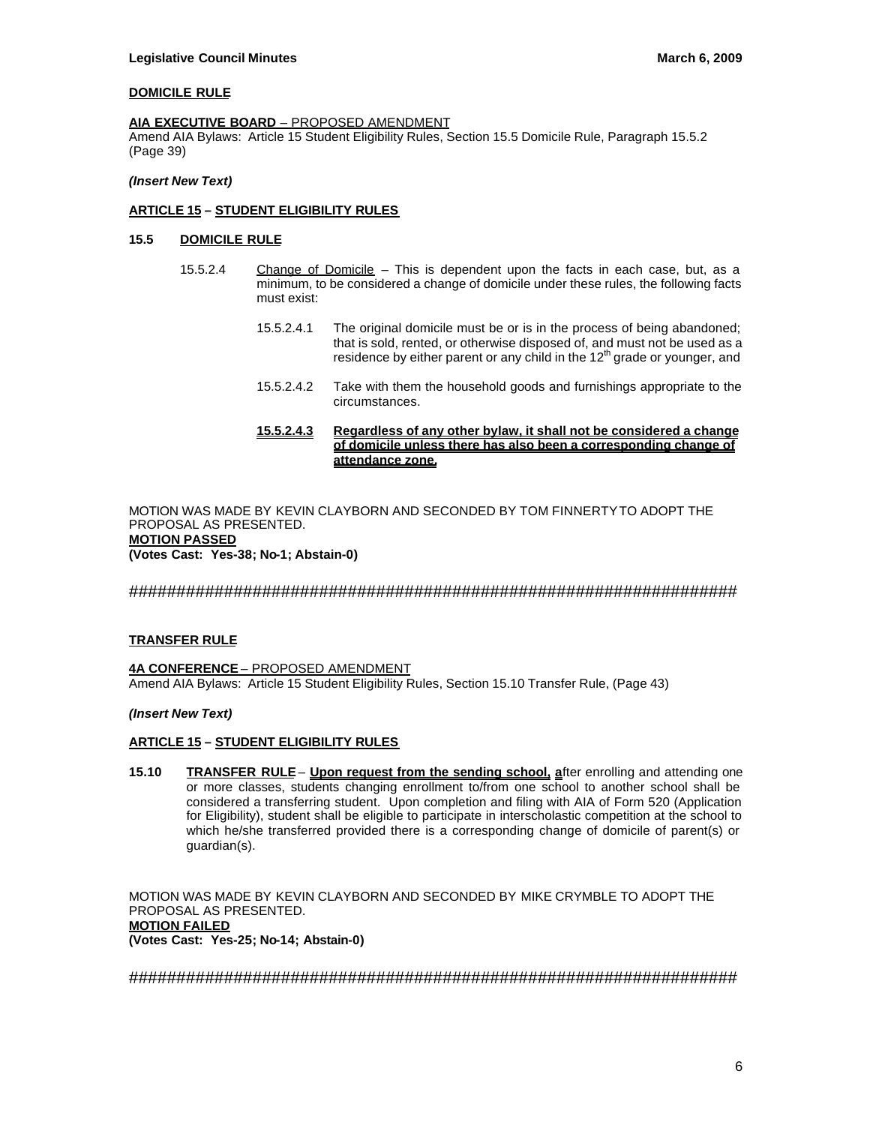### **DOMICILE RULE**

#### **AIA EXECUTIVE BOARD** – PROPOSED AMENDMENT

Amend AIA Bylaws: Article 15 Student Eligibility Rules, Section 15.5 Domicile Rule, Paragraph 15.5.2 (Page 39)

### *(Insert New Text)*

### **ARTICLE 15 – STUDENT ELIGIBILITY RULES**

#### **15.5 DOMICILE RULE**

- 15.5.2.4 Change of Domicile This is dependent upon the facts in each case, but, as a minimum, to be considered a change of domicile under these rules, the following facts must exist:
	- 15.5.2.4.1 The original domicile must be or is in the process of being abandoned; that is sold, rented, or otherwise disposed of, and must not be used as a residence by either parent or any child in the  $12<sup>th</sup>$  grade or younger, and
	- 15.5.2.4.2 Take with them the household goods and furnishings appropriate to the circumstances.

### **15.5.2.4.3 Regardless of any other bylaw, it shall not be considered a change of domicile unless there has also been a corresponding change of attendance zone.**

MOTION WAS MADE BY KEVIN CLAYBORN AND SECONDED BY TOM FINNERTY TO ADOPT THE PROPOSAL AS PRESENTED. **MOTION PASSED (Votes Cast: Yes-38; No-1; Abstain-0)**

### ################################################################

#### **TRANSFER RULE**

**4A CONFERENCE** – PROPOSED AMENDMENT Amend AIA Bylaws: Article 15 Student Eligibility Rules, Section 15.10 Transfer Rule, (Page 43)

#### *(Insert New Text)*

# **ARTICLE 15 – STUDENT ELIGIBILITY RULES**

**15.10 TRANSFER RULE** – **Upon request from the sending school, a**fter enrolling and attending one or more classes, students changing enrollment to/from one school to another school shall be considered a transferring student. Upon completion and filing with AIA of Form 520 (Application for Eligibility), student shall be eligible to participate in interscholastic competition at the school to which he/she transferred provided there is a corresponding change of domicile of parent(s) or guardian(s).

MOTION WAS MADE BY KEVIN CLAYBORN AND SECONDED BY MIKE CRYMBLE TO ADOPT THE PROPOSAL AS PRESENTED. **MOTION FAILED (Votes Cast: Yes-25; No-14; Abstain-0)**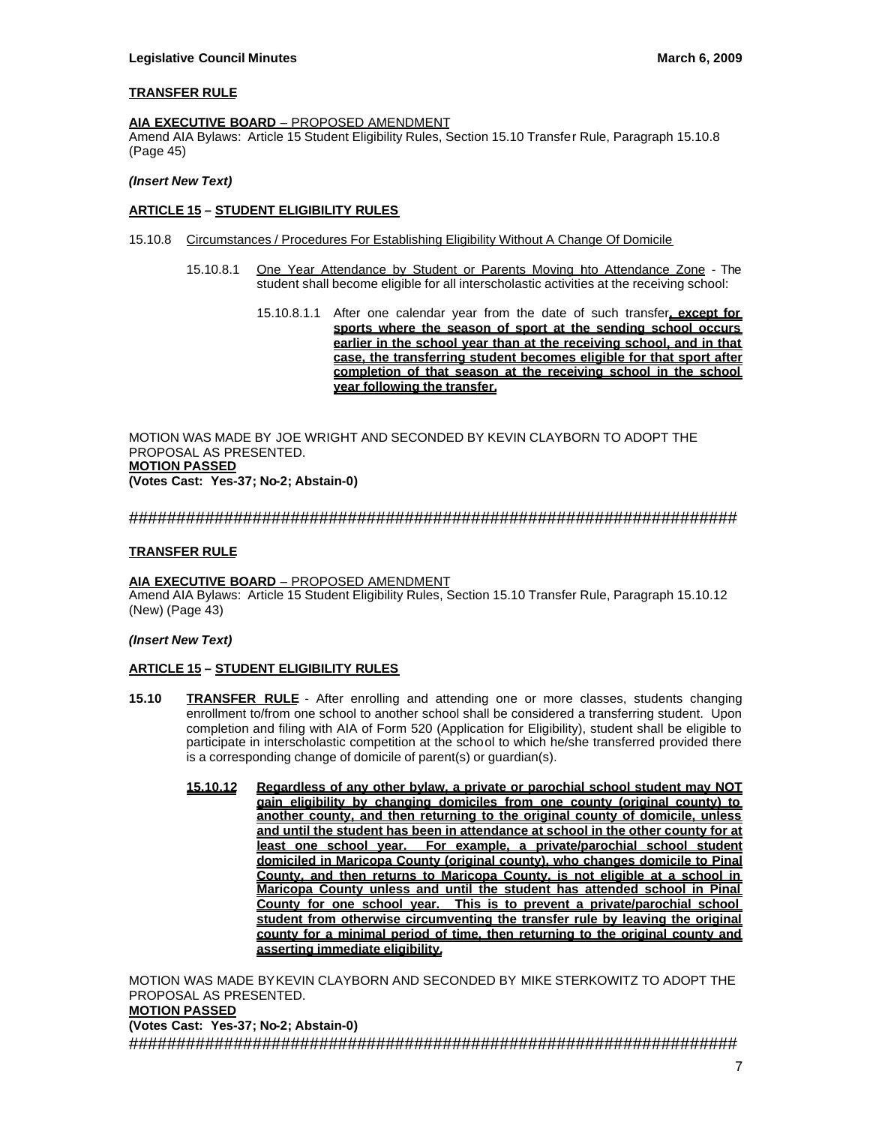### **TRANSFER RULE**

#### **AIA EXECUTIVE BOARD** – PROPOSED AMENDMENT

Amend AIA Bylaws: Article 15 Student Eligibility Rules, Section 15.10 Transfer Rule, Paragraph 15.10.8 (Page 45)

### *(Insert New Text)*

### **ARTICLE 15 – STUDENT ELIGIBILITY RULES**

- 15.10.8 Circumstances / Procedures For Establishing Eligibility Without A Change Of Domicile
	- 15.10.8.1 One Year Attendance by Student or Parents Moving Into Attendance Zone The student shall become eligible for all interscholastic activities at the receiving school:
		- 15.10.8.1.1 After one calendar year from the date of such transfer**, except for sports where the season of sport at the sending school occurs earlier in the school year than at the receiving school, and in that case, the transferring student becomes eligible for that sport after completion of that season at the receiving school in the school year following the transfer.**

MOTION WAS MADE BY JOE WRIGHT AND SECONDED BY KEVIN CLAYBORN TO ADOPT THE PROPOSAL AS PRESENTED. **MOTION PASSED (Votes Cast: Yes-37; No-2; Abstain-0)**

### ################################################################

### **TRANSFER RULE**

#### **AIA EXECUTIVE BOARD** – PROPOSED AMENDMENT

Amend AIA Bylaws: Article 15 Student Eligibility Rules, Section 15.10 Transfer Rule, Paragraph 15.10.12 (New) (Page 43)

#### *(Insert New Text)*

### **ARTICLE 15 – STUDENT ELIGIBILITY RULES**

- **15.10 TRANSFER RULE** After enrolling and attending one or more classes, students changing enrollment to/from one school to another school shall be considered a transferring student. Upon completion and filing with AIA of Form 520 (Application for Eligibility), student shall be eligible to participate in interscholastic competition at the school to which he/she transferred provided there is a corresponding change of domicile of parent(s) or guardian(s).
	- **15.10.12 Regardless of any other bylaw, a private or parochial school student may NOT gain eligibility by changing domiciles from one county (original county) to another county, and then returning to the original county of domicile, unless and until the student has been in attendance at school in the other county for at least one school year. For example, a private/parochial school student domiciled in Maricopa County (original county), who changes domicile to Pinal County, and then returns to Maricopa County, is not eligible at a school in Maricopa County unless and until the student has attended school in Pinal County for one school year. This is to prevent a private/parochial school student from otherwise circumventing the transfer rule by leaving the original county for a minimal period of time, then returning to the original county and asserting immediate eligibility.**

MOTION WAS MADE BYKEVIN CLAYBORN AND SECONDED BY MIKE STERKOWITZ TO ADOPT THE PROPOSAL AS PRESENTED. **MOTION PASSED (Votes Cast: Yes-37; No-2; Abstain-0)** ################################################################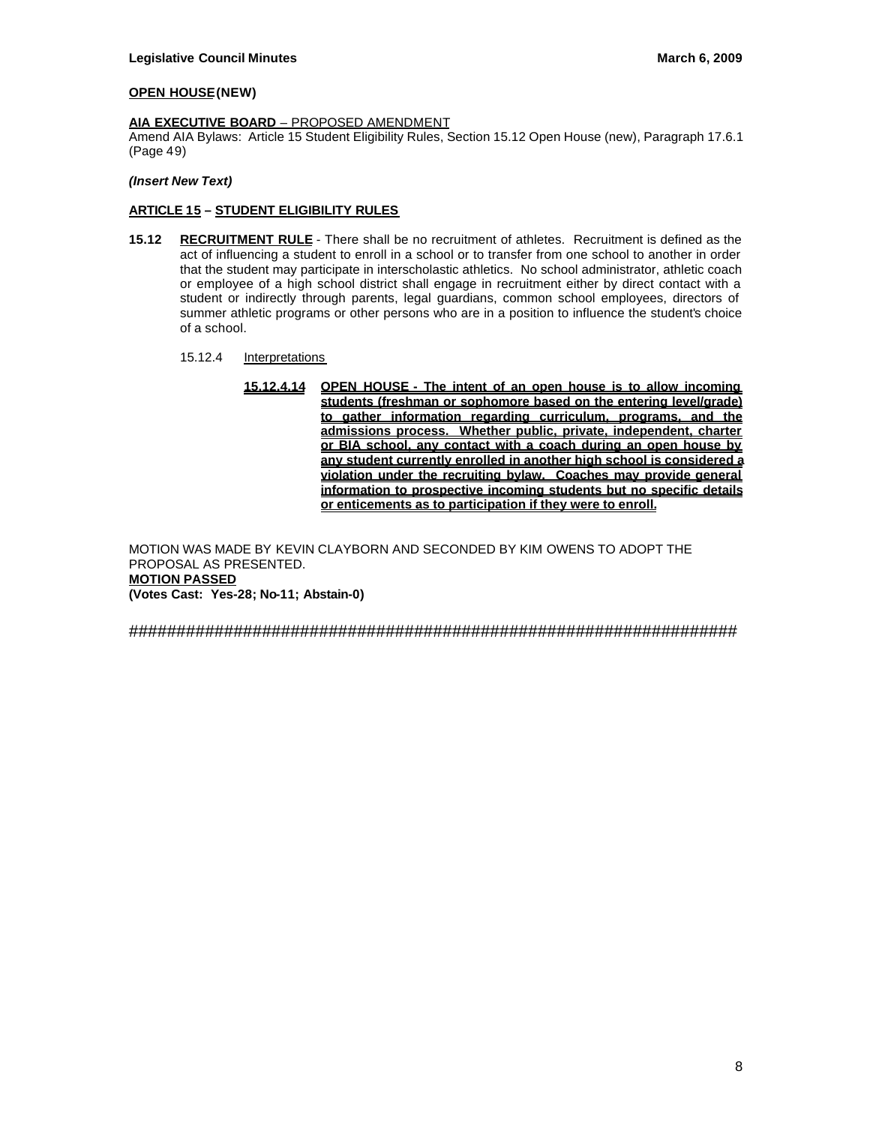### **OPEN HOUSE (NEW)**

### **AIA EXECUTIVE BOARD** – PROPOSED AMENDMENT

Amend AIA Bylaws: Article 15 Student Eligibility Rules, Section 15.12 Open House (new), Paragraph 17.6.1 (Page 49)

### *(Insert New Text)*

## **ARTICLE 15 – STUDENT ELIGIBILITY RULES**

- **15.12 RECRUITMENT RULE** There shall be no recruitment of athletes. Recruitment is defined as the act of influencing a student to enroll in a school or to transfer from one school to another in order that the student may participate in interscholastic athletics. No school administrator, athletic coach or employee of a high school district shall engage in recruitment either by direct contact with a student or indirectly through parents, legal guardians, common school employees, directors of summer athletic programs or other persons who are in a position to influence the student's choice of a school.
	- 15.12.4 Interpretations
		- **15.12.4.14 OPEN HOUSE The intent of an open house is to allow incoming students (freshman or sophomore based on the entering level/grade) to gather information regarding curriculum, programs, and the admissions process. Whether public, private, independent, charter or BIA school, any contact with a coach during an open house by any student currently enrolled in another high school is considered a violation under the recruiting bylaw. Coaches may provide general information to prospective incoming students but no specific details or enticements as to participation if they were to enroll.**

MOTION WAS MADE BY KEVIN CLAYBORN AND SECONDED BY KIM OWENS TO ADOPT THE PROPOSAL AS PRESENTED. **MOTION PASSED (Votes Cast: Yes-28; No-11; Abstain-0)**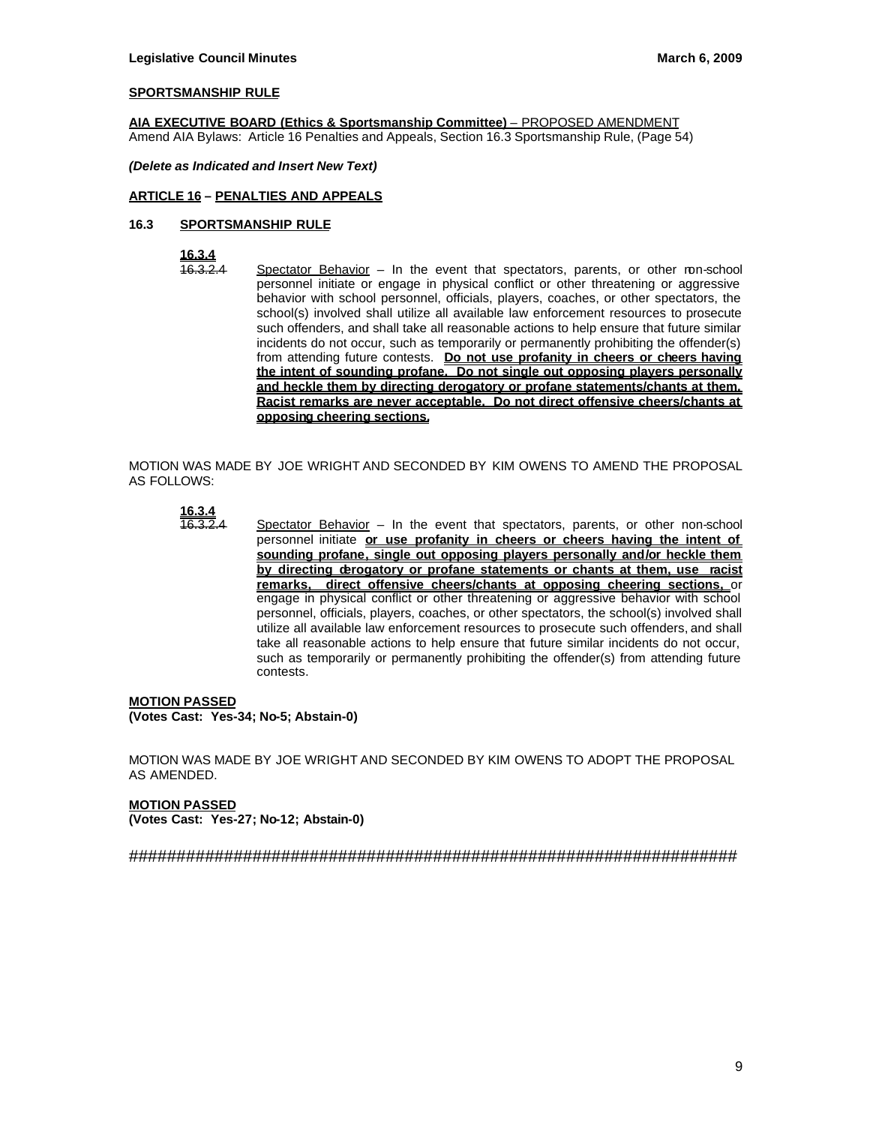## **SPORTSMANSHIP RULE**

**AIA EXECUTIVE BOARD (Ethics & Sportsmanship Committee)** – PROPOSED AMENDMENT Amend AIA Bylaws: Article 16 Penalties and Appeals, Section 16.3 Sportsmanship Rule, (Page 54)

*(Delete as Indicated and Insert New Text)*

## **ARTICLE 16 – PENALTIES AND APPEALS**

### **16.3 SPORTSMANSHIP RULE**

**16.3.4**

Spectator Behavior – In the event that spectators, parents, or other ron-school personnel initiate or engage in physical conflict or other threatening or aggressive behavior with school personnel, officials, players, coaches, or other spectators, the school(s) involved shall utilize all available law enforcement resources to prosecute such offenders, and shall take all reasonable actions to help ensure that future similar incidents do not occur, such as temporarily or permanently prohibiting the offender(s) from attending future contests. **Do not use profanity in cheers or cheers having the intent of sounding profane. Do not single out opposing players personally and heckle them by directing derogatory or profane statements/chants at them. Racist remarks are never acceptable. Do not direct offensive cheers/chants at opposing cheering sections.**

MOTION WAS MADE BY JOE WRIGHT AND SECONDED BY KIM OWENS TO AMEND THE PROPOSAL AS FOLLOWS:

**16.3.4**

 $\overline{46.3.2.4}$  Spectator Behavior – In the event that spectators, parents, or other non-school personnel initiate **or use profanity in cheers or cheers having the intent of sounding profane, single out opposing players personally and/or heckle them by directing derogatory or profane statements or chants at them, use racist remarks, direct offensive cheers/chants at opposing cheering sections,** or engage in physical conflict or other threatening or aggressive behavior with school personnel, officials, players, coaches, or other spectators, the school(s) involved shall utilize all available law enforcement resources to prosecute such offenders, and shall take all reasonable actions to help ensure that future similar incidents do not occur, such as temporarily or permanently prohibiting the offender(s) from attending future contests.

#### **MOTION PASSED (Votes Cast: Yes-34; No-5; Abstain-0)**

MOTION WAS MADE BY JOE WRIGHT AND SECONDED BY KIM OWENS TO ADOPT THE PROPOSAL AS AMENDED.

**MOTION PASSED (Votes Cast: Yes-27; No-12; Abstain-0)**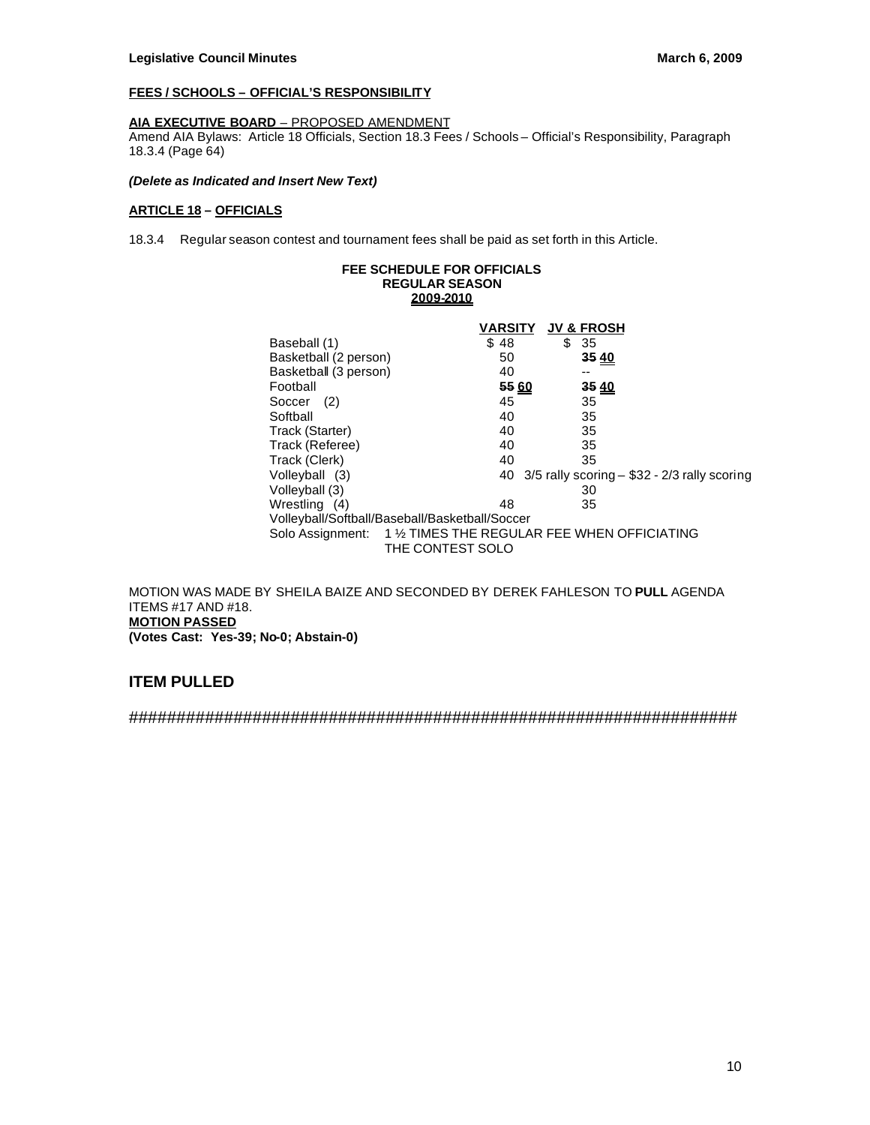# **FEES / SCHOOLS – OFFICIAL'S RESPONSIBILITY**

# **AIA EXECUTIVE BOARD** – PROPOSED AMENDMENT

Amend AIA Bylaws: Article 18 Officials, Section 18.3 Fees / Schools – Official's Responsibility, Paragraph 18.3.4 (Page 64)

### *(Delete as Indicated and Insert New Text)*

## **ARTICLE 18 – OFFICIALS**

18.3.4 Regular season contest and tournament fees shall be paid as set forth in this Article.

### **FEE SCHEDULE FOR OFFICIALS REGULAR SEASON 2009-2010**

|                       | VARSITY                                                                           | <b>JV &amp; FROSH</b> |                                                     |
|-----------------------|-----------------------------------------------------------------------------------|-----------------------|-----------------------------------------------------|
| Baseball (1)          | \$48                                                                              | \$<br>-35             |                                                     |
| Basketball (2 person) | 50                                                                                | 35 40                 |                                                     |
| Basketball (3 person) | 40                                                                                | --                    |                                                     |
| Football              | 55 60                                                                             | 35 40                 |                                                     |
| (2)<br>Soccer         | 45                                                                                | 35                    |                                                     |
| Softball              | 40                                                                                | 35                    |                                                     |
| Track (Starter)       | 40                                                                                | 35                    |                                                     |
| Track (Referee)       | 40                                                                                | 35                    |                                                     |
| Track (Clerk)         | 40                                                                                | 35                    |                                                     |
| Volleyball (3)        |                                                                                   |                       | 40 $3/5$ rally scoring $-$ \$32 - 2/3 rally scoring |
| Volleyball (3)        |                                                                                   | 30                    |                                                     |
| Wrestling (4)         | 48                                                                                | 35                    |                                                     |
|                       | Volleyball/Softball/Baseball/Basketball/Soccer                                    |                       |                                                     |
|                       | Solo Assignment: 1 1/2 TIMES THE REGULAR FEE WHEN OFFICIATING<br>THE CONTEST SOLO |                       |                                                     |

MOTION WAS MADE BY SHEILA BAIZE AND SECONDED BY DEREK FAHLESON TO **PULL** AGENDA ITEMS #17 AND #18. **MOTION PASSED (Votes Cast: Yes-39; No-0; Abstain-0)**

# **ITEM PULLED**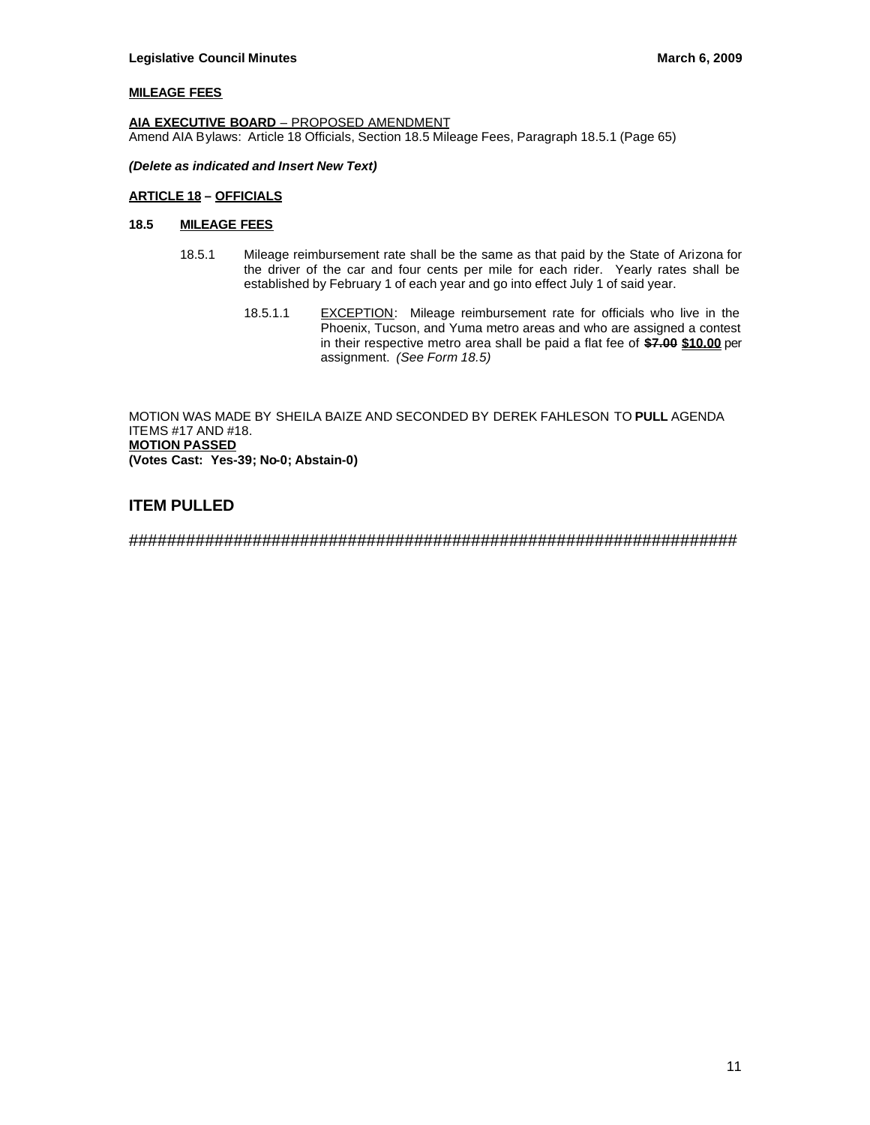### **MILEAGE FEES**

**AIA EXECUTIVE BOARD** – PROPOSED AMENDMENT Amend AIA Bylaws: Article 18 Officials, Section 18.5 Mileage Fees, Paragraph 18.5.1 (Page 65)

### *(Delete as indicated and Insert New Text)*

### **ARTICLE 18 – OFFICIALS**

# **18.5 MILEAGE FEES**

- 18.5.1 Mileage reimbursement rate shall be the same as that paid by the State of Arizona for the driver of the car and four cents per mile for each rider. Yearly rates shall be established by February 1 of each year and go into effect July 1 of said year.
	- 18.5.1.1 EXCEPTION: Mileage reimbursement rate for officials who live in the Phoenix, Tucson, and Yuma metro areas and who are assigned a contest in their respective metro area shall be paid a flat fee of **\$7.00 \$10.00** per assignment. *(See Form 18.5)*

MOTION WAS MADE BY SHEILA BAIZE AND SECONDED BY DEREK FAHLESON TO **PULL** AGENDA ITEMS #17 AND #18. **MOTION PASSED (Votes Cast: Yes-39; No-0; Abstain-0)**

# **ITEM PULLED**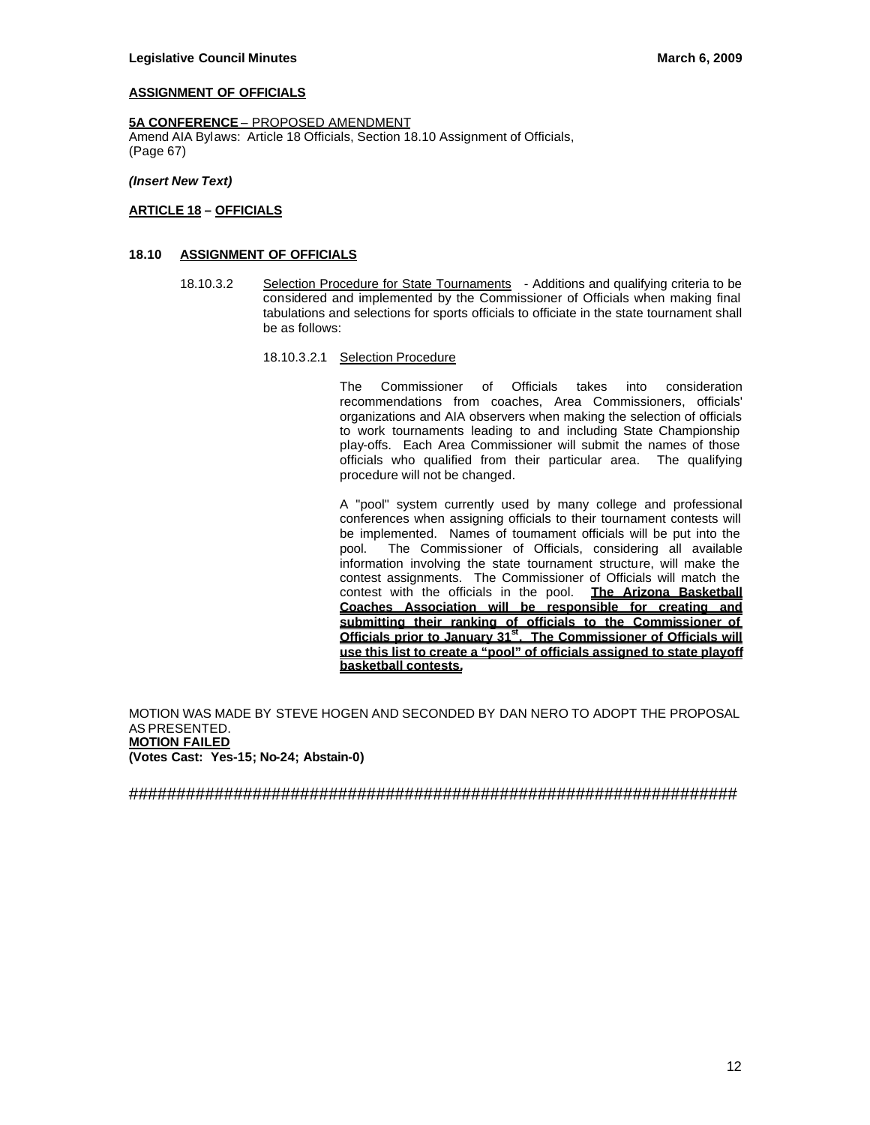### **ASSIGNMENT OF OFFICIALS**

#### **5A CONFERENCE** – PROPOSED AMENDMENT

Amend AIA Bylaws: Article 18 Officials, Section 18.10 Assignment of Officials, (Page 67)

*(Insert New Text)*

### **ARTICLE 18 – OFFICIALS**

#### **18.10 ASSIGNMENT OF OFFICIALS**

18.10.3.2 Selection Procedure for State Tournaments - Additions and qualifying criteria to be considered and implemented by the Commissioner of Officials when making final tabulations and selections for sports officials to officiate in the state tournament shall be as follows:

#### 18.10.3.2.1 Selection Procedure

The Commissioner of Officials takes into consideration recommendations from coaches, Area Commissioners, officials' organizations and AIA observers when making the selection of officials to work tournaments leading to and including State Championship play-offs. Each Area Commissioner will submit the names of those officials who qualified from their particular area. The qualifying procedure will not be changed.

A "pool" system currently used by many college and professional conferences when assigning officials to their tournament contests will be implemented. Names of tournament officials will be put into the pool. The Commissioner of Officials, considering all available information involving the state tournament structure, will make the contest assignments. The Commissioner of Officials will match the contest with the officials in the pool. **The Arizona Basketball Coaches Association will be responsible for creating and submitting their ranking of officials to the Commissioner of Officials prior to January 31st. The Commissioner of Officials will use this list to create a "pool" of officials assigned to state playoff basketball contests.**

MOTION WAS MADE BY STEVE HOGEN AND SECONDED BY DAN NERO TO ADOPT THE PROPOSAL AS PRESENTED. **MOTION FAILED (Votes Cast: Yes-15; No-24; Abstain-0)**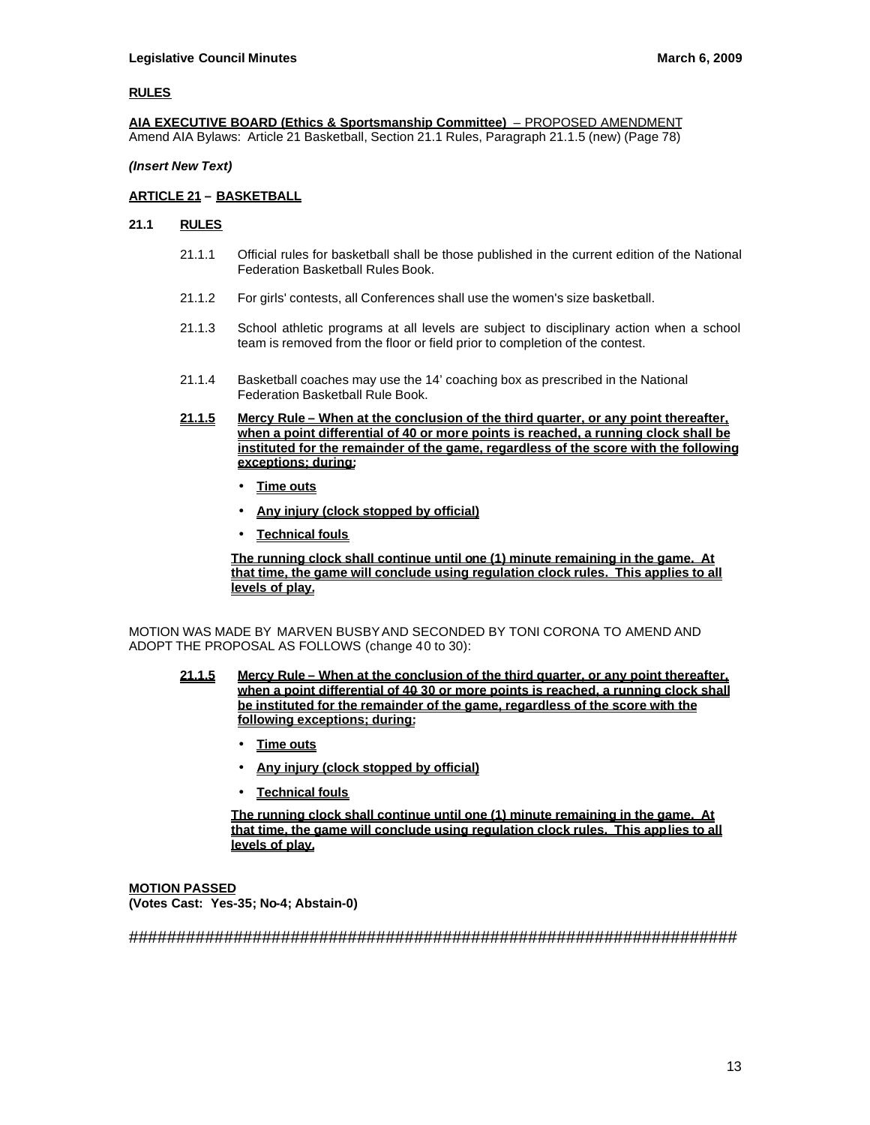### **RULES**

**AIA EXECUTIVE BOARD (Ethics & Sportsmanship Committee)** – PROPOSED AMENDMENT Amend AIA Bylaws: Article 21 Basketball, Section 21.1 Rules, Paragraph 21.1.5 (new) (Page 78)

### *(Insert New Text)*

### **ARTICLE 21 – BASKETBALL**

### **21.1 RULES**

- 21.1.1 Official rules for basketball shall be those published in the current edition of the National Federation Basketball Rules Book.
- 21.1.2 For girls' contests, all Conferences shall use the women's size basketball.
- 21.1.3 School athletic programs at all levels are subject to disciplinary action when a school team is removed from the floor or field prior to completion of the contest.
- 21.1.4 Basketball coaches may use the 14' coaching box as prescribed in the National Federation Basketball Rule Book.
- **21.1.5 Mercy Rule When at the conclusion of the third quarter, or any point thereafter, when a point differential of 40 or more points is reached, a running clock shall be instituted for the remainder of the game, regardless of the score with the following exceptions; during:**
	- **Time outs**
	- **Any injury (clock stopped by official)**
	- **Technical fouls**

**The running clock shall continue until one (1) minute remaining in the game. At that time, the game will conclude using regulation clock rules. This applies to all levels of play.**

MOTION WAS MADE BY MARVEN BUSBY AND SECONDED BY TONI CORONA TO AMEND AND ADOPT THE PROPOSAL AS FOLLOWS (change 40 to 30):

- **21.1.5 Mercy Rule When at the conclusion of the third quarter, or any point thereafter, when a point differential of 40 30 or more points is reached, a running clock shall be instituted for the remainder of the game, regardless of the score with the following exceptions; during:**
	- **Time outs**
	- **Any injury (clock stopped by official)**
	- **Technical fouls**

**The running clock shall continue until one (1) minute remaining in the game. At that time, the game will conclude using regulation clock rules. This applies to all levels of play.**

**MOTION PASSED (Votes Cast: Yes-35; No-4; Abstain-0)**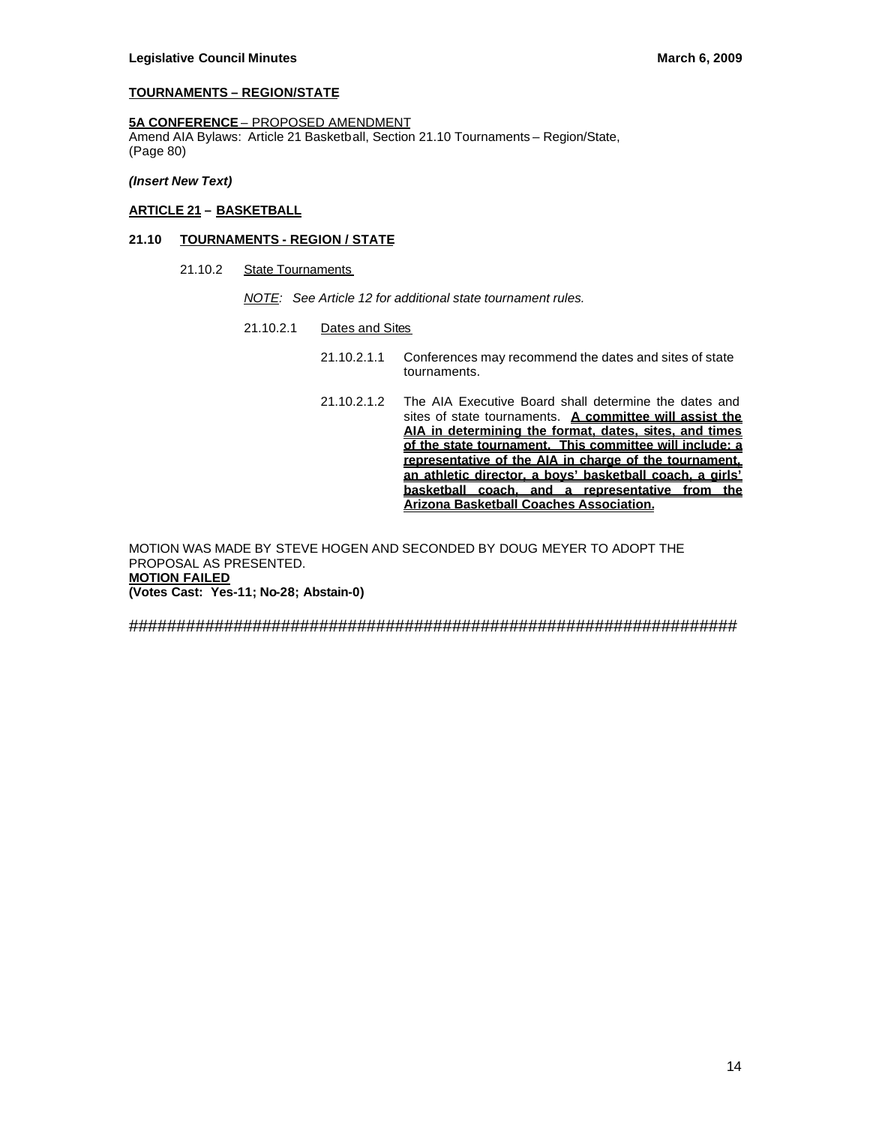### **TOURNAMENTS – REGION/STATE**

# **5A CONFERENCE** – PROPOSED AMENDMENT

Amend AIA Bylaws: Article 21 Basketball, Section 21.10 Tournaments – Region/State, (Page 80)

*(Insert New Text)*

### **ARTICLE 21 – BASKETBALL**

#### **21.10 TOURNAMENTS - REGION / STATE**

21.10.2 State Tournaments

*NOTE: See Article 12 for additional state tournament rules.*

- 21.10.2.1 Dates and Sites
	- 21.10.2.1.1 Conferences may recommend the dates and sites of state tournaments.
	- 21.10.2.1.2 The AIA Executive Board shall determine the dates and sites of state tournaments. **A committee will assist the AIA in determining the format, dates, sites, and times of the state tournament. This committee will include: a representative of the AIA in charge of the tournament, an athletic director, a boys' basketball coach, a girls' basketball coach, and a representative from the Arizona Basketball Coaches Association.**

MOTION WAS MADE BY STEVE HOGEN AND SECONDED BY DOUG MEYER TO ADOPT THE PROPOSAL AS PRESENTED. **MOTION FAILED (Votes Cast: Yes-11; No-28; Abstain-0)**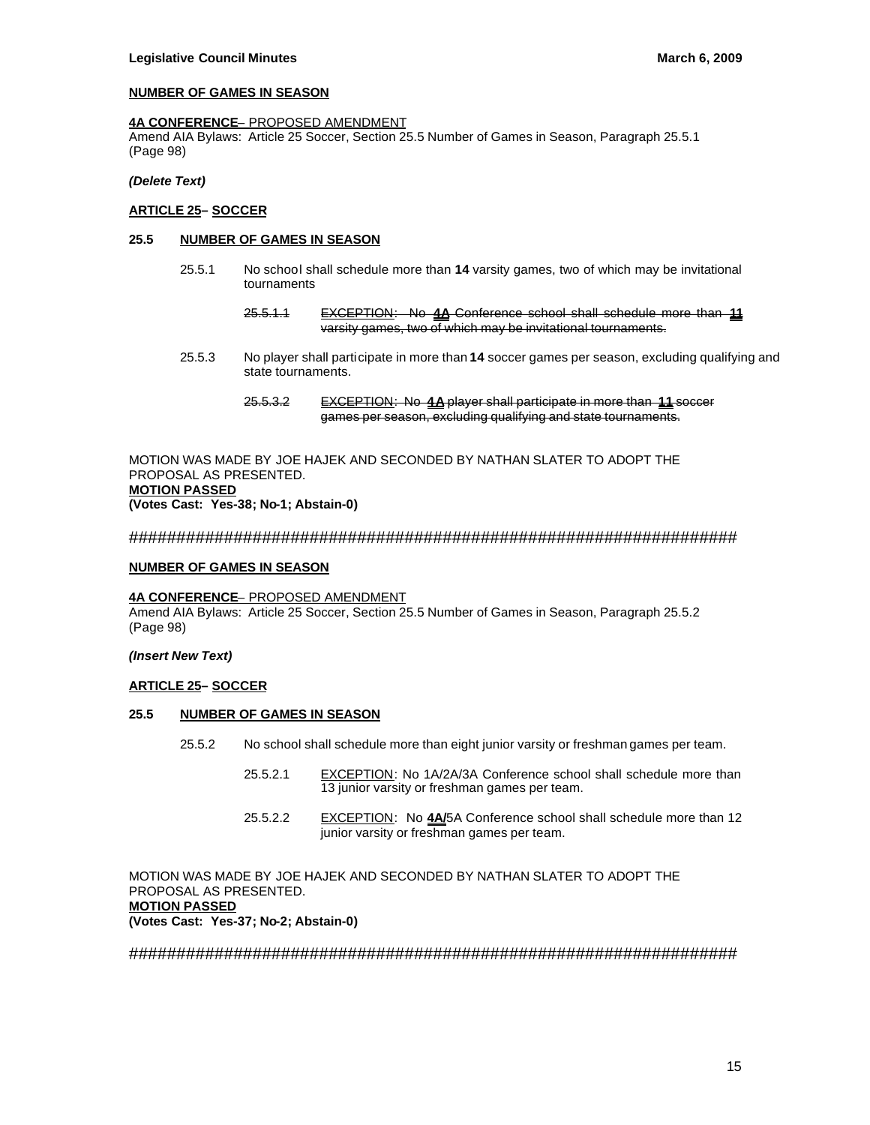#### **NUMBER OF GAMES IN SEASON**

#### **4A CONFERENCE**– PROPOSED AMENDMENT

Amend AIA Bylaws: Article 25 Soccer, Section 25.5 Number of Games in Season, Paragraph 25.5.1 (Page 98)

### *(Delete Text)*

### **ARTICLE 25– SOCCER**

### **25.5 NUMBER OF GAMES IN SEASON**

- 25.5.1 No school shall schedule more than **14** varsity games, two of which may be invitational tournaments
	- 25.5.1.1 EXCEPTION: No **4A** Conference school shall schedule more than **11** varsity games, two of which may be invitational tournaments.
- 25.5.3 No player shall participate in more than **14** soccer games per season, excluding qualifying and state tournaments.
	- 25.5.3.2 EXCEPTION: No **4A** player shall participate in more than **11** soccer games per season, excluding qualifying and state tournaments.

MOTION WAS MADE BY JOE HAJEK AND SECONDED BY NATHAN SLATER TO ADOPT THE PROPOSAL AS PRESENTED. **MOTION PASSED (Votes Cast: Yes-38; No-1; Abstain-0)**

################################################################

#### **NUMBER OF GAMES IN SEASON**

#### **4A CONFERENCE**– PROPOSED AMENDMENT

Amend AIA Bylaws: Article 25 Soccer, Section 25.5 Number of Games in Season, Paragraph 25.5.2 (Page 98)

#### *(Insert New Text)*

#### **ARTICLE 25– SOCCER**

### **25.5 NUMBER OF GAMES IN SEASON**

- 25.5.2 No school shall schedule more than eight junior varsity or freshman games per team.
	- 25.5.2.1 EXCEPTION: No 1A/2A/3A Conference school shall schedule more than 13 junior varsity or freshman games per team.
	- 25.5.2.2 EXCEPTION: No **4A/**5A Conference school shall schedule more than 12 junior varsity or freshman games per team.

MOTION WAS MADE BY JOE HAJEK AND SECONDED BY NATHAN SLATER TO ADOPT THE PROPOSAL AS PRESENTED. **MOTION PASSED (Votes Cast: Yes-37; No-2; Abstain-0)**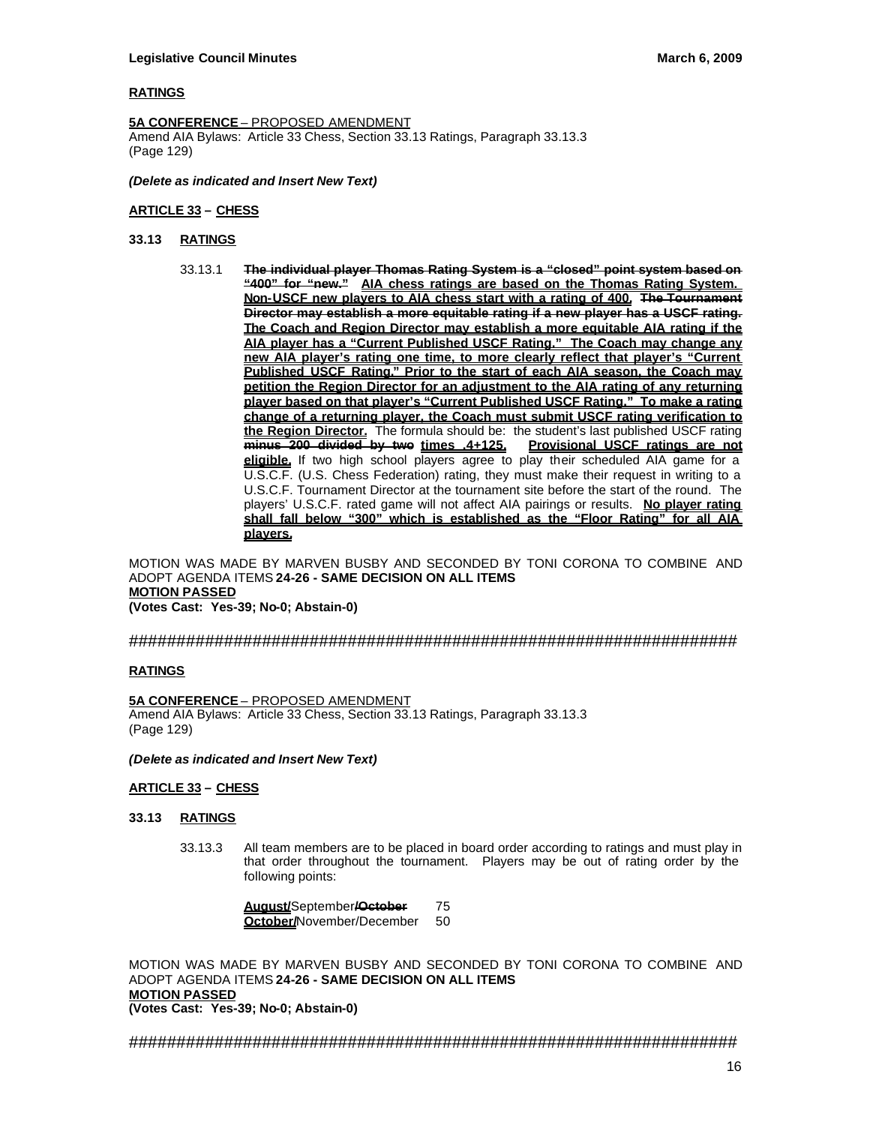### **RATINGS**

**5A CONFERENCE** – PROPOSED AMENDMENT Amend AIA Bylaws: Article 33 Chess, Section 33.13 Ratings, Paragraph 33.13.3 (Page 129)

#### *(Delete as indicated and Insert New Text)*

### **ARTICLE 33 – CHESS**

### **33.13 RATINGS**

33.13.1 **The individual player Thomas Rating System is a "closed" point system based on "400" for "new." AIA chess ratings are based on the Thomas Rating System. Non-USCF new players to AIA chess start with a rating of 400. The Tournament Director may establish a more equitable rating if a new player has a USCF rating. The Coach and Region Director may establish a more equitable AIA rating if the AIA player has a "Current Published USCF Rating." The Coach may change any new AIA player's rating one time, to more clearly reflect that player's "Current Published USCF Rating." Prior to the start of each AIA season, the Coach may petition the Region Director for an adjustment to the AIA rating of any returning player based on that player's "Current Published USCF Rating." To make a rating change of a returning player, the Coach must submit USCF rating verification to the Region Director.** The formula should be: the student's last published USCF rating minus 200 divided by two times .4+125. Provisional USCF ratings are not minus 200 divided by two times .4+125. **eligible.** If two high school players agree to play their scheduled AIA game for a U.S.C.F. (U.S. Chess Federation) rating, they must make their request in writing to a U.S.C.F. Tournament Director at the tournament site before the start of the round. The players' U.S.C.F. rated game will not affect AIA pairings or results. **No player rating shall fall below "300" which is established as the "Floor Rating" for all AIA players.**

MOTION WAS MADE BY MARVEN BUSBY AND SECONDED BY TONI CORONA TO COMBINE AND ADOPT AGENDA ITEMS **24-26 - SAME DECISION ON ALL ITEMS MOTION PASSED (Votes Cast: Yes-39; No-0; Abstain-0)**

### ################################################################

#### **RATINGS**

**5A CONFERENCE** – PROPOSED AMENDMENT Amend AIA Bylaws: Article 33 Chess, Section 33.13 Ratings, Paragraph 33.13.3 (Page 129)

*(Delete as indicated and Insert New Text)*

### **ARTICLE 33 – CHESS**

### **33.13 RATINGS**

33.13.3 All team members are to be placed in board order according to ratings and must play in that order throughout the tournament. Players may be out of rating order by the following points:

> **August/**September**/October** 75 **October/**November/December 50

MOTION WAS MADE BY MARVEN BUSBY AND SECONDED BY TONI CORONA TO COMBINE AND ADOPT AGENDA ITEMS **24-26 - SAME DECISION ON ALL ITEMS MOTION PASSED (Votes Cast: Yes-39; No-0; Abstain-0)**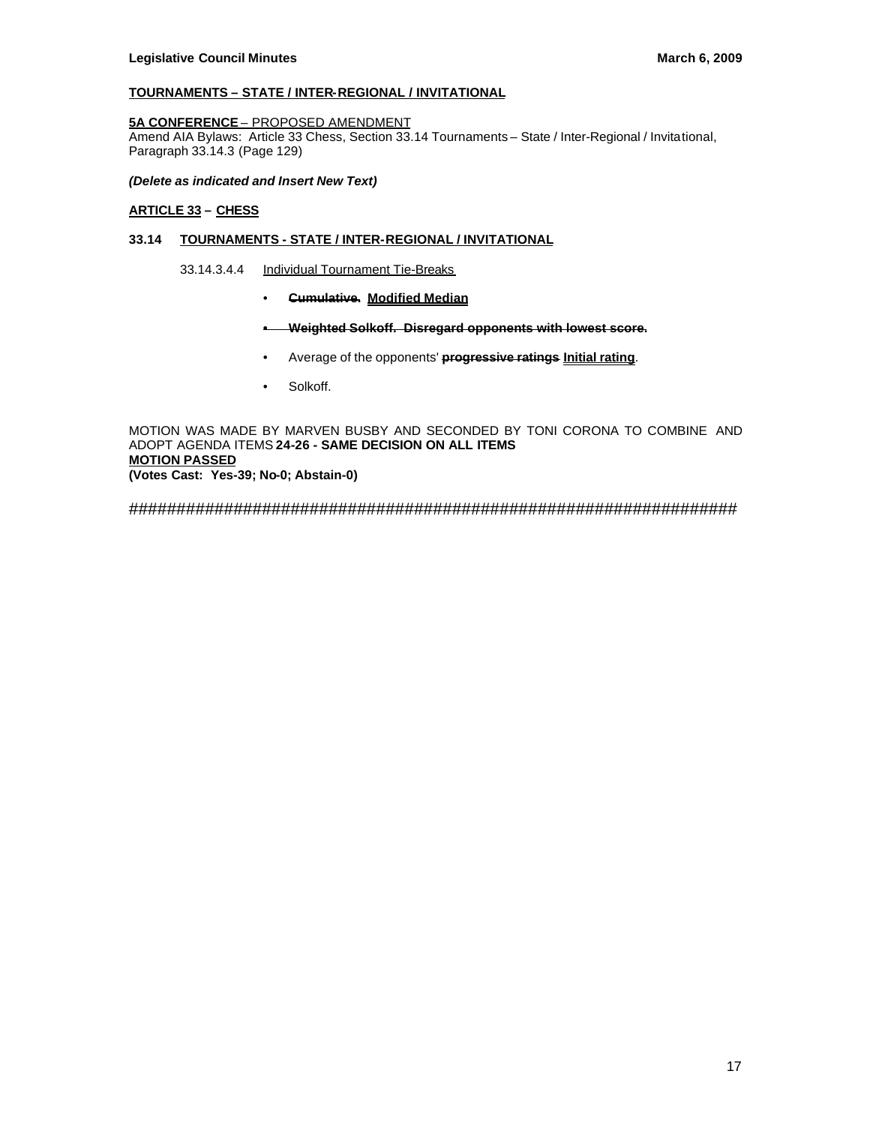# **TOURNAMENTS – STATE / INTER-REGIONAL / INVITATIONAL**

### **5A CONFERENCE** – PROPOSED AMENDMENT

Amend AIA Bylaws: Article 33 Chess, Section 33.14 Tournaments – State / Inter-Regional / Invitational, Paragraph 33.14.3 (Page 129)

### *(Delete as indicated and Insert New Text)*

### **ARTICLE 33 – CHESS**

### **33.14 TOURNAMENTS - STATE / INTER-REGIONAL / INVITATIONAL**

#### 33.14.3.4.4 Individual Tournament Tie-Breaks

- **Cumulative. Modified Median**
- **• Weighted Solkoff. Disregard opponents with lowest score.**
- Average of the opponents' **progressive ratings Initial rating**.
- Solkoff.

MOTION WAS MADE BY MARVEN BUSBY AND SECONDED BY TONI CORONA TO COMBINE AND ADOPT AGENDA ITEMS **24-26 - SAME DECISION ON ALL ITEMS MOTION PASSED (Votes Cast: Yes-39; No-0; Abstain-0)**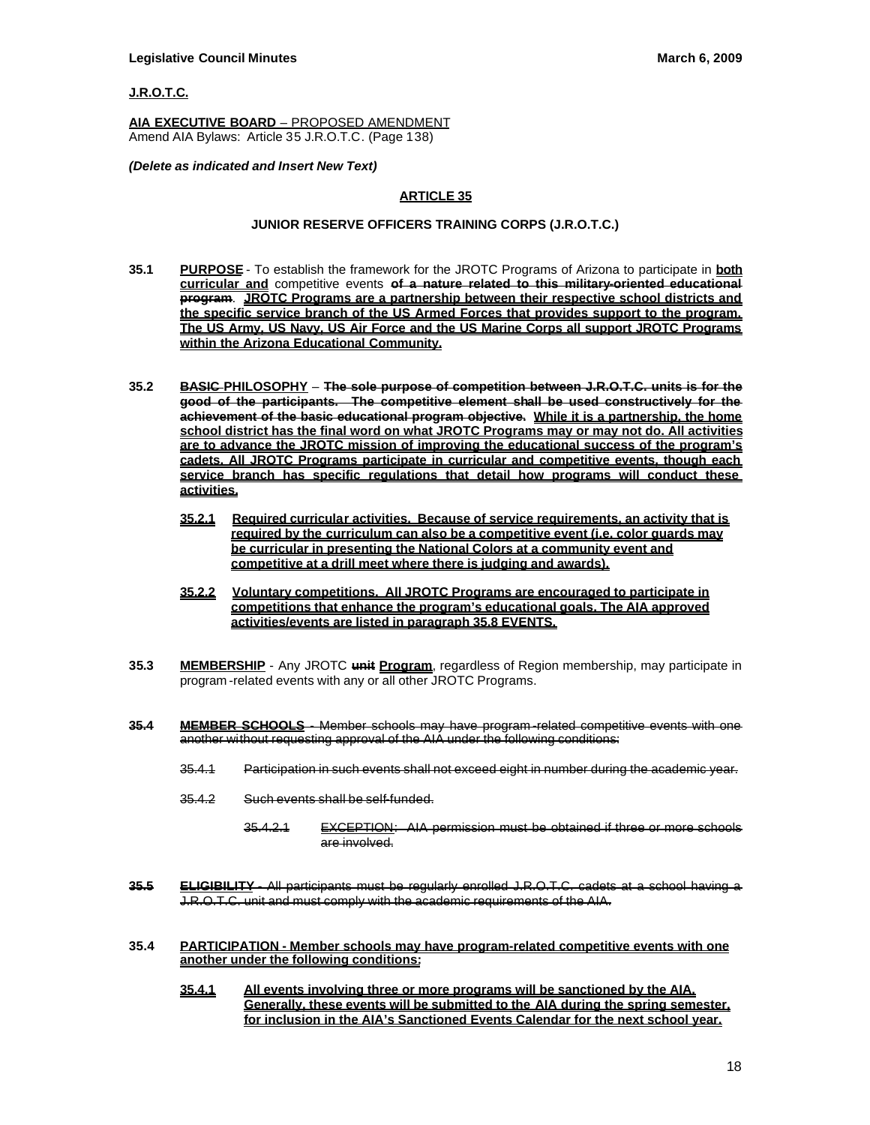### **J.R.O.T.C.**

**AIA EXECUTIVE BOARD** – PROPOSED AMENDMENT Amend AIA Bylaws: Article 35 J.R.O.T.C. (Page 138)

#### *(Delete as indicated and Insert New Text)*

# **ARTICLE 35**

### **JUNIOR RESERVE OFFICERS TRAINING CORPS (J.R.O.T.C.)**

- **35.1 PURPOSE** To establish the framework for the JROTC Programs of Arizona to participate in **both curricular and** competitive events **of a nature related to this military-oriented educational program**. **JROTC Programs are a partnership between their respective school districts and the specific service branch of the US Armed Forces that provides support to the program. The US Army, US Navy, US Air Force and the US Marine Corps all support JROTC Programs within the Arizona Educational Community.**
- **35.2 BASIC PHILOSOPHY The sole purpose of competition between J.R.O.T.C. units is for the good of the participants. The competitive element shall be used constructively for the achievement of the basic educational program objective. While it is a partnership, the home school district has the final word on what JROTC Programs may or may not do. All activities are to advance the JROTC mission of improving the educational success of the program's cadets. All JROTC Programs participate in curricular and competitive events, though each service branch has specific regulations that detail how programs will conduct these activities.**
	- **35.2.1 Required curricular activities. Because of service requirements, an activity that is required by the curriculum can also be a competitive event (i.e. color guards may be curricular in presenting the National Colors at a community event and competitive at a drill meet where there is judging and awards).**
	- **35.2.2 Voluntary competitions. All JROTC Programs are encouraged to participate in competitions that enhance the program's educational goals. The AIA approved activities/events are listed in paragraph 35.8 EVENTS.**
- **35.3 MEMBERSHIP** Any JROTC **unit Program**, regardless of Region membership, may participate in program -related events with any or all other JROTC Programs.
- **35.4 MEMBER SCHOOLS** Member schools may have program -related competitive events with one another without requesting approval of the AIA under the following conditions:
	- 35.4.1 Participation in such events shall not exceed eight in number during the academic year.
	- 35.4.2 Such events shall be self-funded.
		- 35.4.2.1 EXCEPTION: AIA permission must be obtained if three or more schools are involved.
- **35.5 ELIGIBILITY** All participants must be regularly enrolled J.R.O.T.C. cadets at a school having a J.R.O.T.C. unit and must comply with the academic requirements of the AIA.
- **35.4 PARTICIPATION - Member schools may have program-related competitive events with one another under the following conditions:**
	- **35.4.1 All events involving three or more programs will be sanctioned by the AIA. Generally, these events will be submitted to the AIA during the spring semester, for inclusion in the AIA's Sanctioned Events Calendar for the next school year.**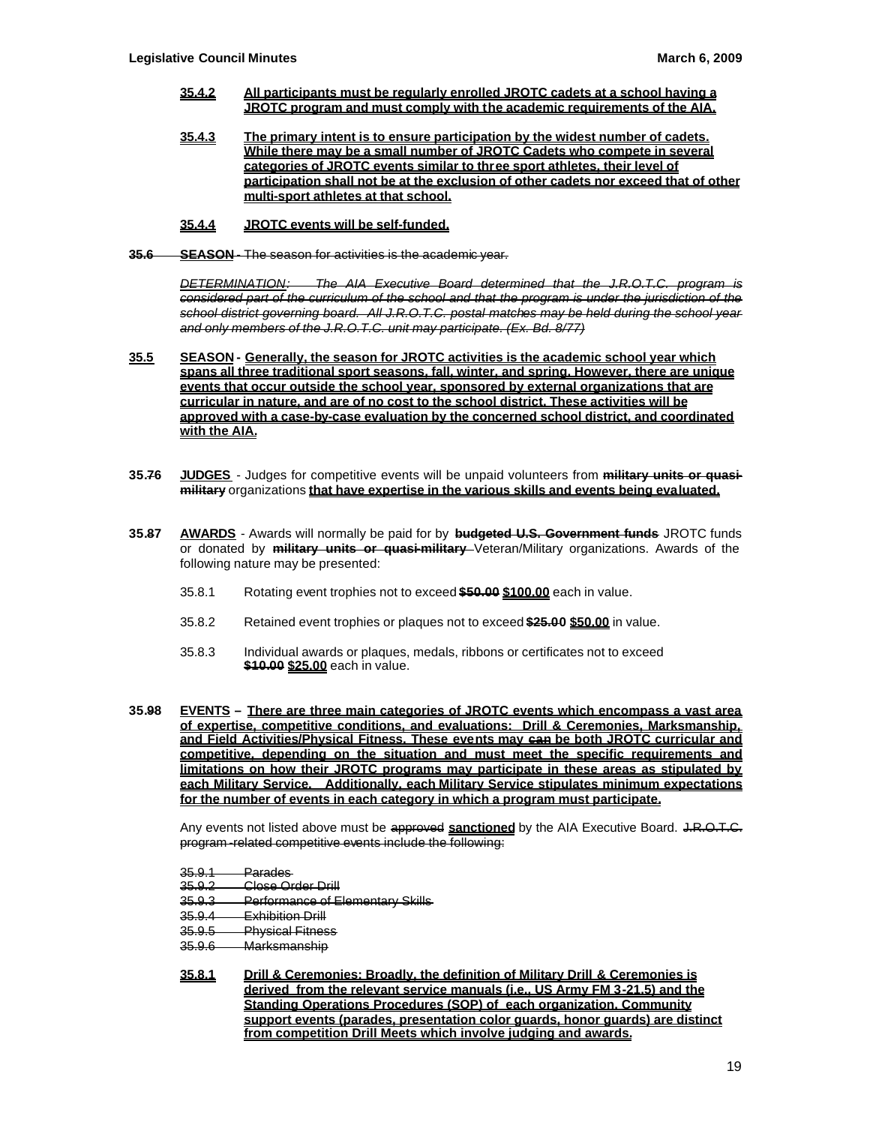- **35.4.2 All participants must be regularly enrolled JROTC cadets at a school having a JROTC program and must comply with the academic requirements of the AIA.**
- **35.4.3 The primary intent is to ensure participation by the widest number of cadets. While there may be a small number of JROTC Cadets who compete in several categories of JROTC events similar to three sport athletes, their level of participation shall not be at the exclusion of other cadets nor exceed that of other multi-sport athletes at that school.**
- **35.4.4 JROTC events will be self-funded.**
- **35.6 SEASON** The season for activities is the academic year.

*DETERMINATION: The AIA Executive Board determined that the J.R.O.T.C. program is considered part of the curriculum of the school and that the program is under the jurisdiction of the school district governing board. All J.R.O.T.C. postal matches may be held during the school year and only members of the J.R.O.T.C. unit may participate. (Ex. Bd. 8/77)*

- **35.5 SEASON - Generally, the season for JROTC activities is the academic school year which spans all three traditional sport seasons, fall, winter, and spring. However, there are unique events that occur outside the school year, sponsored by external organizations that are curricular in nature, and are of no cost to the school district. These activities will be approved with a case-by-case evaluation by the concerned school district, and coordinated with the AIA.**
- **35.76 JUDGES** Judges for competitive events will be unpaid volunteers from **military units or quasimilitary** organizations **that have expertise in the various skills and events being evaluated.**
- **35.87 AWARDS** Awards will normally be paid for by **budgeted U.S. Government funds** JROTC funds or donated by **military units or quasi-military** Veteran/Military organizations. Awards of the following nature may be presented:
	- 35.8.1 Rotating event trophies not to exceed **\$50.00 \$100.00** each in value.
	- 35.8.2 Retained event trophies or plaques not to exceed **\$25.00 \$50.00** in value.
	- 35.8.3 Individual awards or plaques, medals, ribbons or certificates not to exceed **\$10.00 \$25.00** each in value.
- **35.98 EVENTS – There are three main categories of JROTC events which encompass a vast area of expertise, competitive conditions, and evaluations: Drill & Ceremonies, Marksmanship, and Field Activities/Physical Fitness. These events may can be both JROTC curricular and competitive, depending on the situation and must meet the specific requirements and limitations on how their JROTC programs may participate in these areas as stipulated by each Military Service. Additionally, each Military Service stipulates minimum expectations for the number of events in each category in which a program must participate.**

Any events not listed above must be approved sanctioned by the AIA Executive Board. J.R.O.T.C. program -related competitive events include the following:

- 35.9.3 Performance of Elementary Skills
- 35.9.4 Exhibition Drill
- 35.9.5 Physical Fitness<br>35.9.6 Marksmanship
- Marksmanship
- **35.8.1 Drill & Ceremonies: Broadly, the definition of Military Drill & Ceremonies is derived from the relevant service manuals (i.e., US Army FM 3-21.5) and the Standing Operations Procedures (SOP) of each organization. Community support events (parades, presentation color guards, honor guards) are distinct from competition Drill Meets which involve judging and awards.**

<sup>35.9.1</sup> Parades<br>35.9.2 Close Or

Close Order Drill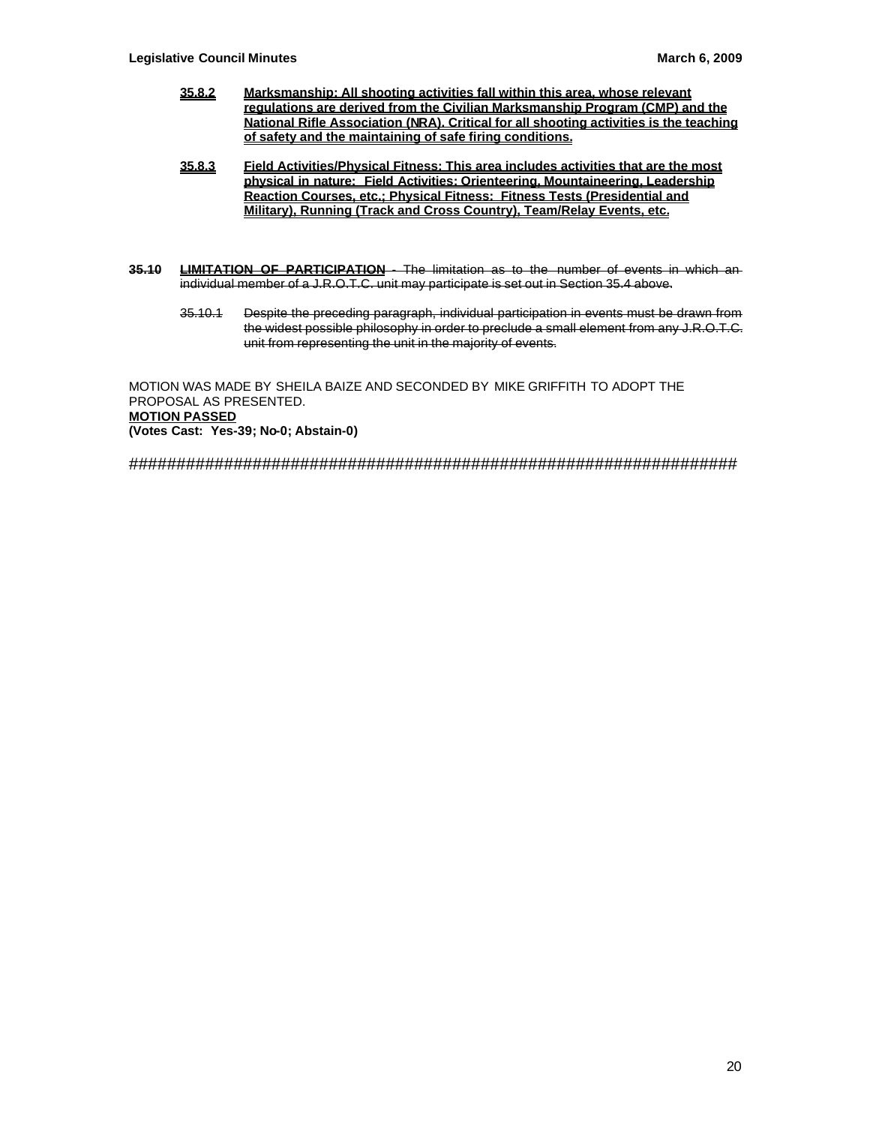- **35.8.2 Marksmanship: All shooting activities fall within this area, whose relevant regulations are derived from the Civilian Marksmanship Program (CMP) and the National Rifle Association (NRA). Critical for all shooting activities is the teaching of safety and the maintaining of safe firing conditions.**
- **35.8.3 Field Activities/Physical Fitness: This area includes activities that are the most physical in nature: Field Activities: Orienteering, Mountaineering, Leadership Reaction Courses, etc.; Physical Fitness: Fitness Tests (Presidential and Military), Running (Track and Cross Country), Team/Relay Events, etc.**
- **35.10 LIMITATION OF PARTICIPATION** The limitation as to the number of events in which an individual member of a J.R.O.T.C. unit may participate is set out in Section 35.4 above.
	- 35.10.1 Despite the preceding paragraph, individual participation in events must be drawn from the widest possible philosophy in order to preclude a small element from any J.R.O.T.C. unit from representing the unit in the majority of events.

MOTION WAS MADE BY SHEILA BAIZE AND SECONDED BY MIKE GRIFFITH TO ADOPT THE PROPOSAL AS PRESENTED. **MOTION PASSED (Votes Cast: Yes-39; No-0; Abstain-0)**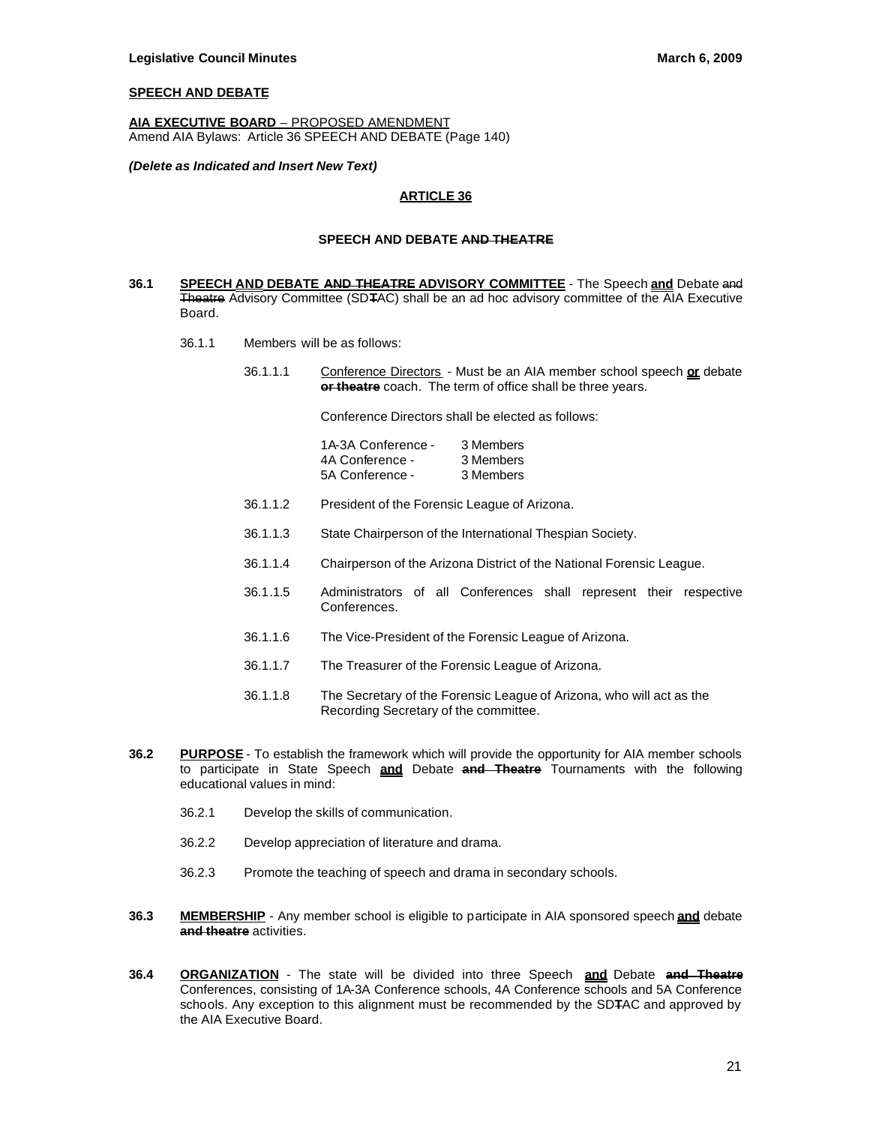# **SPEECH AND DEBATE**

**AIA EXECUTIVE BOARD** – PROPOSED AMENDMENT Amend AIA Bylaws: Article 36 SPEECH AND DEBATE (Page 140)

#### *(Delete as Indicated and Insert New Text)*

### **ARTICLE 36**

#### **SPEECH AND DEBATE AND THEATRE**

- **36.1 SPEECH AND DEBATE AND THEATRE ADVISORY COMMITTEE** The Speech **and** Debate and Theatre Advisory Committee (SD**T**AC) shall be an ad hoc advisory committee of the AIA Executive Board.
	- 36.1.1 Members will be as follows:
		- 36.1.1.1 Conference Directors Must be an AIA member school speech **or** debate **or theatre** coach. The term of office shall be three years.

Conference Directors shall be elected as follows:

| 1A-3A Conference - | 3 Members |
|--------------------|-----------|
| 4A Conference -    | 3 Members |
| 5A Conference -    | 3 Members |

- 36.1.1.2 President of the Forensic League of Arizona.
- 36.1.1.3 State Chairperson of the International Thespian Society.
- 36.1.1.4 Chairperson of the Arizona District of the National Forensic League.
- 36.1.1.5 Administrators of all Conferences shall represent their respective Conferences.
- 36.1.1.6 The Vice-President of the Forensic League of Arizona.
- 36.1.1.7 The Treasurer of the Forensic League of Arizona.
- 36.1.1.8 The Secretary of the Forensic League of Arizona, who will act as the Recording Secretary of the committee.
- **36.2 PURPOSE** To establish the framework which will provide the opportunity for AIA member schools to participate in State Speech **and** Debate **and Theatre** Tournaments with the following educational values in mind:
	- 36.2.1 Develop the skills of communication.
	- 36.2.2 Develop appreciation of literature and drama.
	- 36.2.3 Promote the teaching of speech and drama in secondary schools.
- **36.3 MEMBERSHIP** Any member school is eligible to participate in AIA sponsored speech **and** debate **and theatre** activities.
- **36.4 ORGANIZATION** The state will be divided into three Speech **and** Debate **and Theatre** Conferences, consisting of 1A-3A Conference schools, 4A Conference schools and 5A Conference schools. Any exception to this alignment must be recommended by the SD**T**AC and approved by the AIA Executive Board.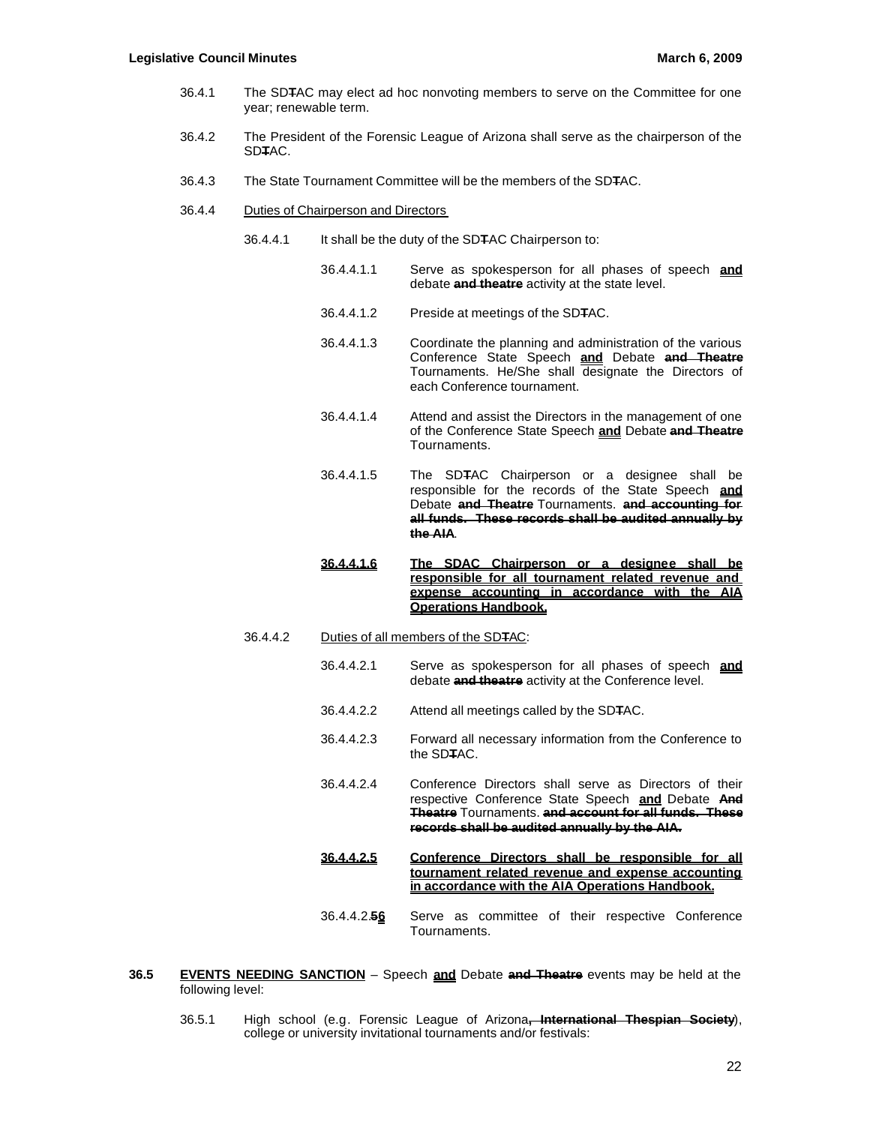- 36.4.1 The SD**T**AC may elect ad hoc nonvoting members to serve on the Committee for one year; renewable term.
- 36.4.2 The President of the Forensic League of Arizona shall serve as the chairperson of the SD**T**AC.
- 36.4.3 The State Tournament Committee will be the members of the SD**T**AC.
- 36.4.4 Duties of Chairperson and Directors
	- 36.4.4.1 It shall be the duty of the SD**T**AC Chairperson to:
		- 36.4.4.1.1 Serve as spokesperson for all phases of speech **and** debate **and theatre** activity at the state level.
		- 36.4.4.1.2 Preside at meetings of the SD**T**AC.
		- 36.4.4.1.3 Coordinate the planning and administration of the various Conference State Speech **and** Debate **and Theatre** Tournaments. He/She shall designate the Directors of each Conference tournament.
		- 36.4.4.1.4 Attend and assist the Directors in the management of one of the Conference State Speech **and** Debate **and Theatre** Tournaments.
		- 36.4.4.1.5 The SD**T**AC Chairperson or a designee shall be responsible for the records of the State Speech **and** Debate **and Theatre** Tournaments. **and accounting for all funds. These records shall be audited annually by the AIA**.
		- **36.4.4.1.6 The SDAC Chairperson or a designee shall be responsible for all tournament related revenue and expense accounting in accordance with the AIA Operations Handbook.**
	- 36.4.4.2 Duties of all members of the SD**T**AC:
		- 36.4.4.2.1 Serve as spokesperson for all phases of speech **and** debate **and theatre** activity at the Conference level.
		- 36.4.4.2.2 Attend all meetings called by the SD**T**AC.
		- 36.4.4.2.3 Forward all necessary information from the Conference to the SD**T**AC.
		- 36.4.4.2.4 Conference Directors shall serve as Directors of their respective Conference State Speech **and** Debate **And Theatre** Tournaments. **and account for all funds. These records shall be audited annually by the AIA.**
		- **36.4.4.2.5 Conference Directors shall be responsible for all tournament related revenue and expense accounting in accordance with the AIA Operations Handbook.**
		- 36.4.4.2.**56** Serve as committee of their respective Conference Tournaments.
- **36.5 EVENTS NEEDING SANCTION** Speech **and** Debate **and Theatre** events may be held at the following level:
	- 36.5.1 High school (e.g. Forensic League of Arizona**, International Thespian Society**), college or university invitational tournaments and/or festivals: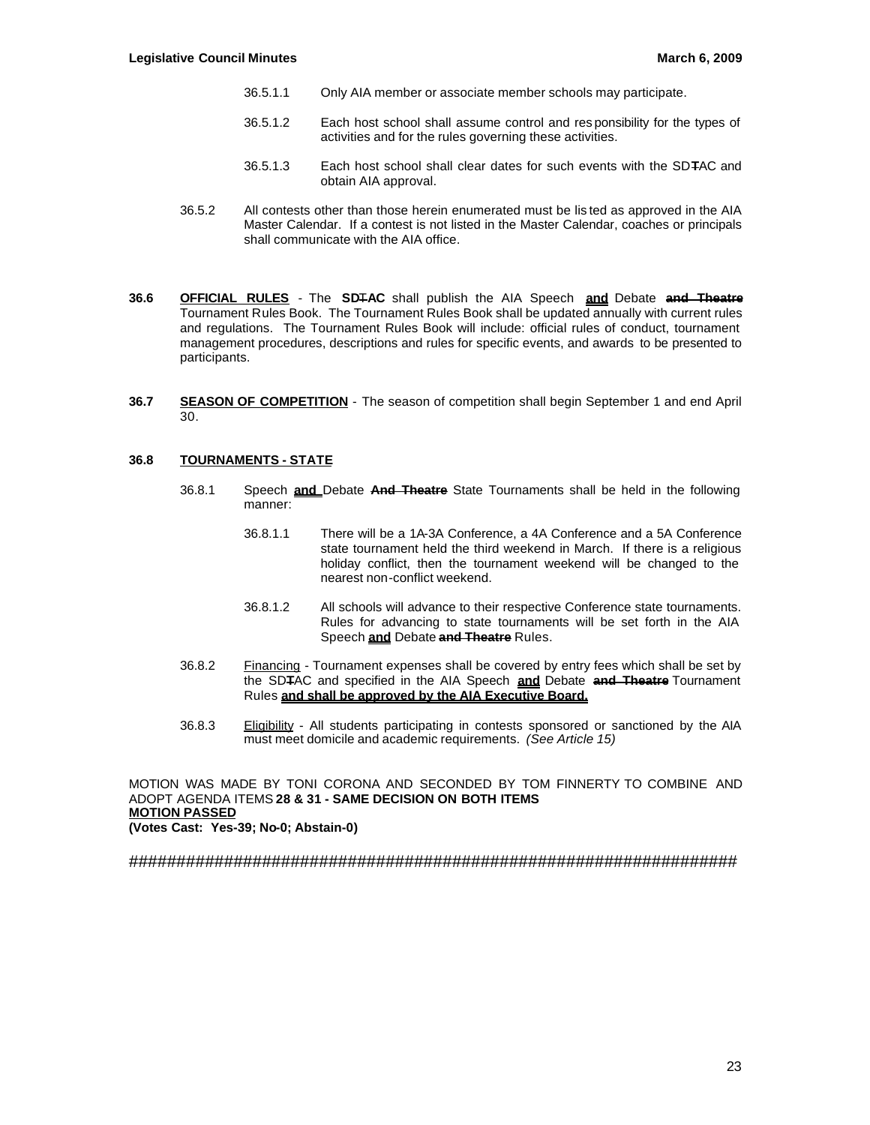- 36.5.1.1 Only AIA member or associate member schools may participate.
- 36.5.1.2 Each host school shall assume control and res ponsibility for the types of activities and for the rules governing these activities.
- 36.5.1.3 Each host school shall clear dates for such events with the SD**T**AC and obtain AIA approval.
- 36.5.2 All contests other than those herein enumerated must be lis ted as approved in the AIA Master Calendar. If a contest is not listed in the Master Calendar, coaches or principals shall communicate with the AIA office.
- **36.6 OFFICIAL RULES** The **SD**T**AC** shall publish the AIA Speech **and** Debate **and Theatre** Tournament Rules Book. The Tournament Rules Book shall be updated annually with current rules and regulations. The Tournament Rules Book will include: official rules of conduct, tournament management procedures, descriptions and rules for specific events, and awards to be presented to participants.
- **36.7 SEASON OF COMPETITION** The season of competition shall begin September 1 and end April 30.

## **36.8 TOURNAMENTS - STATE**

- 36.8.1 Speech **and** Debate **And Theatre** State Tournaments shall be held in the following manner:
	- 36.8.1.1 There will be a 1A-3A Conference, a 4A Conference and a 5A Conference state tournament held the third weekend in March. If there is a religious holiday conflict, then the tournament weekend will be changed to the nearest non-conflict weekend.
	- 36.8.1.2 All schools will advance to their respective Conference state tournaments. Rules for advancing to state tournaments will be set forth in the AIA Speech **and** Debate **and Theatre** Rules.
- 36.8.2 Financing Tournament expenses shall be covered by entry fees which shall be set by the SD**T**AC and specified in the AIA Speech **and** Debate **and Theatre** Tournament Rules **and shall be approved by the AIA Executive Board.**
- 36.8.3 Eligibility All students participating in contests sponsored or sanctioned by the AIA must meet domicile and academic requirements. *(See Article 15)*

MOTION WAS MADE BY TONI CORONA AND SECONDED BY TOM FINNERTY TO COMBINE AND ADOPT AGENDA ITEMS **28 & 31 - SAME DECISION ON BOTH ITEMS MOTION PASSED (Votes Cast: Yes-39; No-0; Abstain-0)**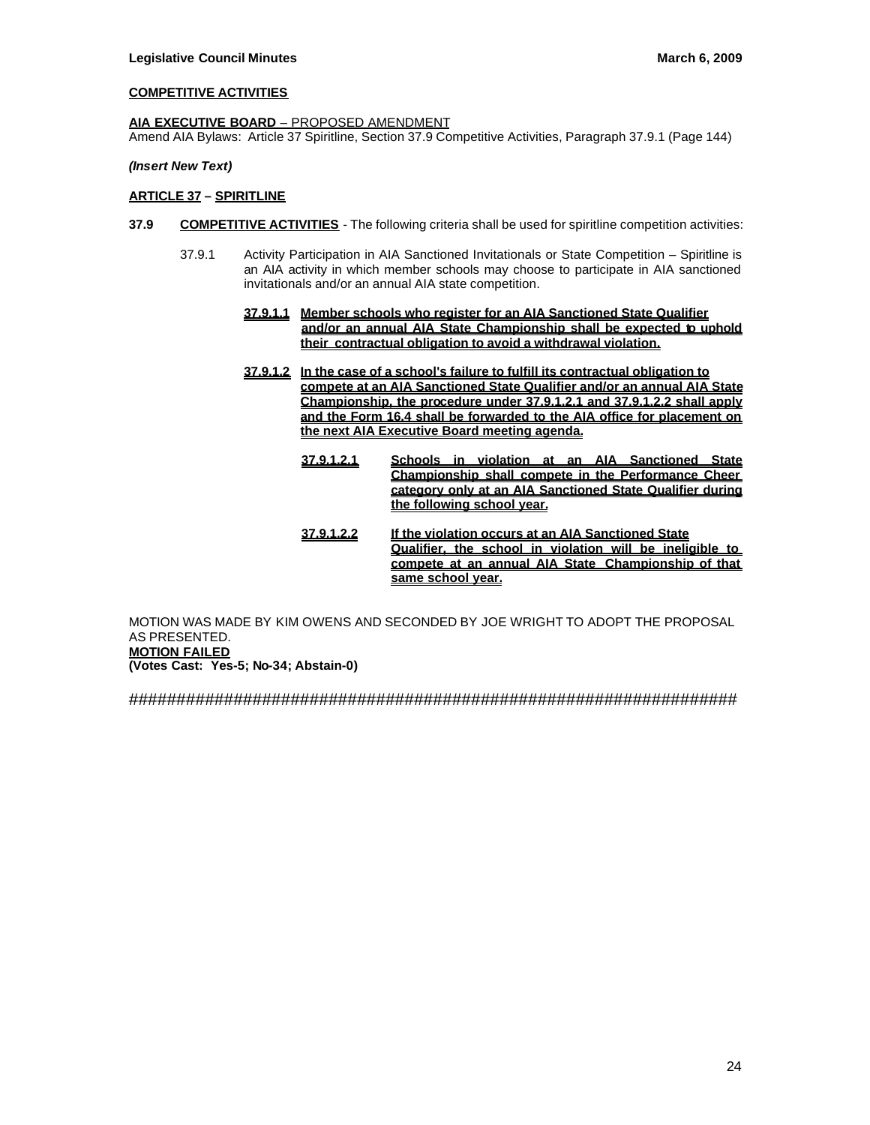# **COMPETITIVE ACTIVITIES**

### **AIA EXECUTIVE BOARD** – PROPOSED AMENDMENT

Amend AIA Bylaws: Article 37 Spiritline, Section 37.9 Competitive Activities, Paragraph 37.9.1 (Page 144)

### *(Insert New Text)*

### **ARTICLE 37 – SPIRITLINE**

- **37.9 COMPETITIVE ACTIVITIES** The following criteria shall be used for spiritline competition activities:
	- 37.9.1 Activity Participation in AIA Sanctioned Invitationals or State Competition Spiritline is an AIA activity in which member schools may choose to participate in AIA sanctioned invitationals and/or an annual AIA state competition.
		- **37.9.1.1 Member schools who register for an AIA Sanctioned State Qualifier and/or an annual AIA State Championship shall be expected to uphold their contractual obligation to avoid a withdrawal violation.**
		- **37.9.1.2 In the case of a school's failure to fulfill its contractual obligation to compete at an AIA Sanctioned State Qualifier and/or an annual AIA State Championship, the procedure under 37.9.1.2.1 and 37.9.1.2.2 shall apply and the Form 16.4 shall be forwarded to the AIA office for placement on the next AIA Executive Board meeting agenda.**
			- **37.9.1.2.1 Schools in violation at an AIA Sanctioned State Championship shall compete in the Performance Cheer category only at an AIA Sanctioned State Qualifier during the following school year.**
			- **37.9.1.2.2 If the violation occurs at an AIA Sanctioned State Qualifier, the school in violation will be ineligible to compete at an annual AIA State Championship of that same school year.**

MOTION WAS MADE BY KIM OWENS AND SECONDED BY JOE WRIGHT TO ADOPT THE PROPOSAL AS PRESENTED. **MOTION FAILED (Votes Cast: Yes-5; No-34; Abstain-0)**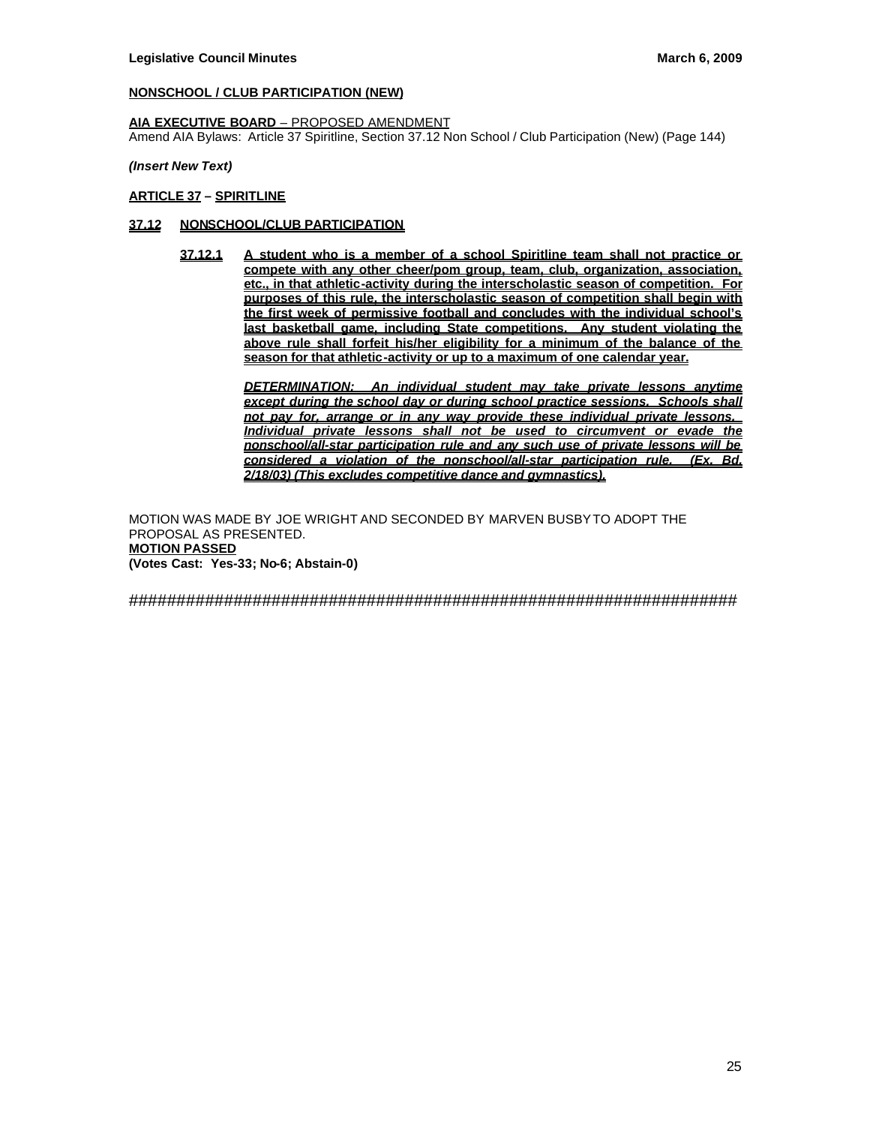# **NONSCHOOL / CLUB PARTICIPATION (NEW)**

### **AIA EXECUTIVE BOARD** – PROPOSED AMENDMENT

Amend AIA Bylaws: Article 37 Spiritline, Section 37.12 Non School / Club Participation (New) (Page 144)

### *(Insert New Text)*

## **ARTICLE 37 – SPIRITLINE**

## **37.12 NONSCHOOL/CLUB PARTICIPATION**

**37.12.1 A student who is a member of a school Spiritline team shall not practice or compete with any other cheer/pom group, team, club, organization, association, etc., in that athletic-activity during the interscholastic season of competition. For purposes of this rule, the interscholastic season of competition shall begin with the first week of permissive football and concludes with the individual school's last basketball game, including State competitions. Any student violating the above rule shall forfeit his/her eligibility for a minimum of the balance of the season for that athletic-activity or up to a maximum of one calendar year.**

> *DETERMINATION: An individual student may take private lessons anytime except during the school day or during school practice sessions. Schools shall not pay for, arrange or in any way provide these individual private lessons. Individual private lessons shall not be used to circumvent or evade the nonschool/all-star participation rule and any such use of private lessons will be considered a violation of the nonschool/all-star participation rule. (Ex. Bd. 2/18/03) (This excludes competitive dance and gymnastics).*

MOTION WAS MADE BY JOE WRIGHT AND SECONDED BY MARVEN BUSBY TO ADOPT THE PROPOSAL AS PRESENTED. **MOTION PASSED (Votes Cast: Yes-33; No-6; Abstain-0)**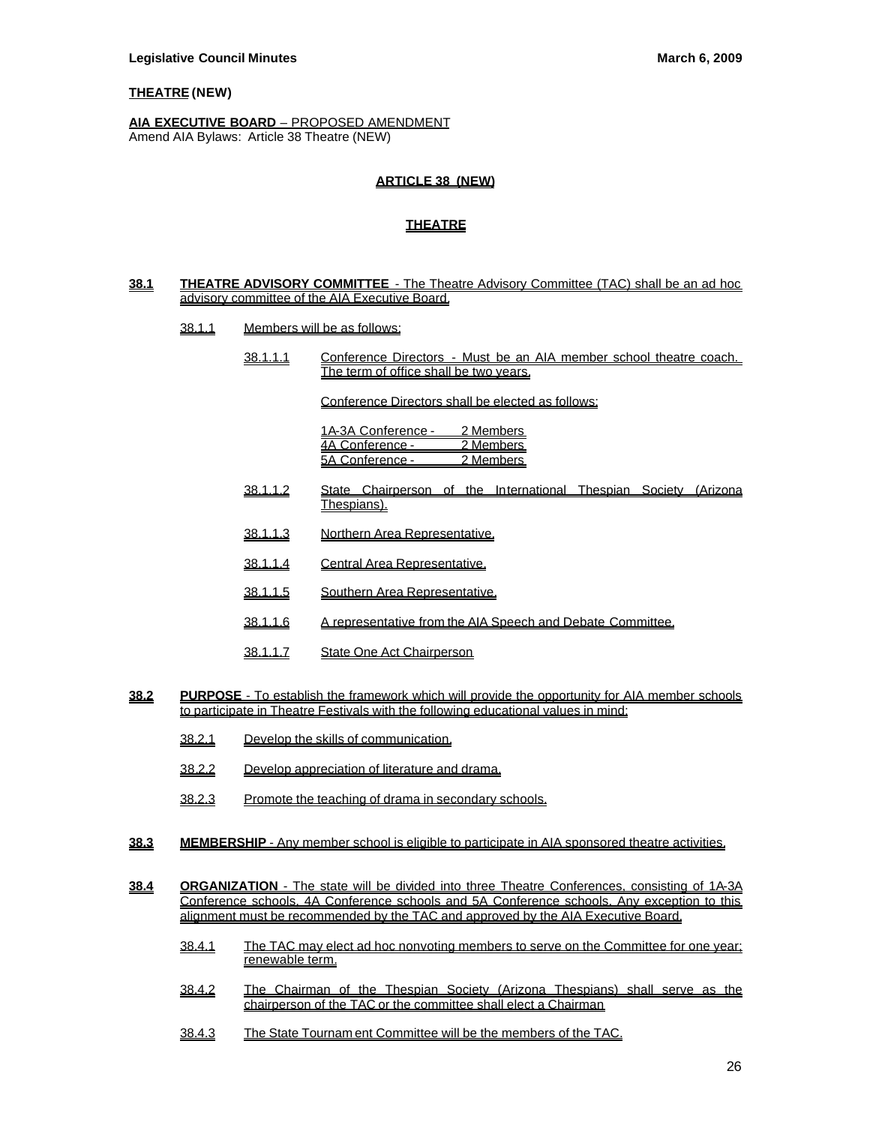### **THEATRE (NEW)**

#### **AIA EXECUTIVE BOARD** – PROPOSED AMENDMENT Amend AIA Bylaws: Article 38 Theatre (NEW)

### **ARTICLE 38 (NEW)**

## **THEATRE**

#### **38.1 THEATRE ADVISORY COMMITTEE** - The Theatre Advisory Committee (TAC) shall be an ad hoc advisory committee of the AIA Executive Board.

- 38.1.1 Members will be as follows:
	- 38.1.1.1 Conference Directors Must be an AIA member school theatre coach. The term of office shall be two years.

Conference Directors shall be elected as follows:

1A-3A Conference - 2 Members 4A Conference - 2 Members 5A Conference - 2 Members

- 38.1.1.2 State Chairperson of the International Thespian Society (Arizona Thespians).
- 38.1.1.3 Northern Area Representative.
- 38.1.1.4 Central Area Representative.
- 38.1.1.5 Southern Area Representative.
- 38.1.1.6 A representative from the AIA Speech and Debate Committee.
- 38.1.1.7 State One Act Chairperson
- **38.2 PURPOSE**  To establish the framework which will provide the opportunity for AIA member schools to participate in Theatre Festivals with the following educational values in mind:
	- 38.2.1 Develop the skills of communication.
	- 38.2.2 Develop appreciation of literature and drama.
	- 38.2.3 Promote the teaching of drama in secondary schools.
- **38.3 MEMBERSHIP**  Any member school is eligible to participate in AIA sponsored theatre activities.
- **38.4 ORGANIZATION**  The state will be divided into three Theatre Conferences, consisting of 1A-3A Conference schools, 4A Conference schools and 5A Conference schools. Any exception to this alignment must be recommended by the TAC and approved by the AIA Executive Board.
	- 38.4.1 The TAC may elect ad hoc nonvoting members to serve on the Committee for one year; renewable term.
	- 38.4.2 The Chairman of the Thespian Society (Arizona Thespians) shall serve as the chairperson of the TAC or the committee shall elect a Chairman
	- 38.4.3 The State Tournam ent Committee will be the members of the TAC.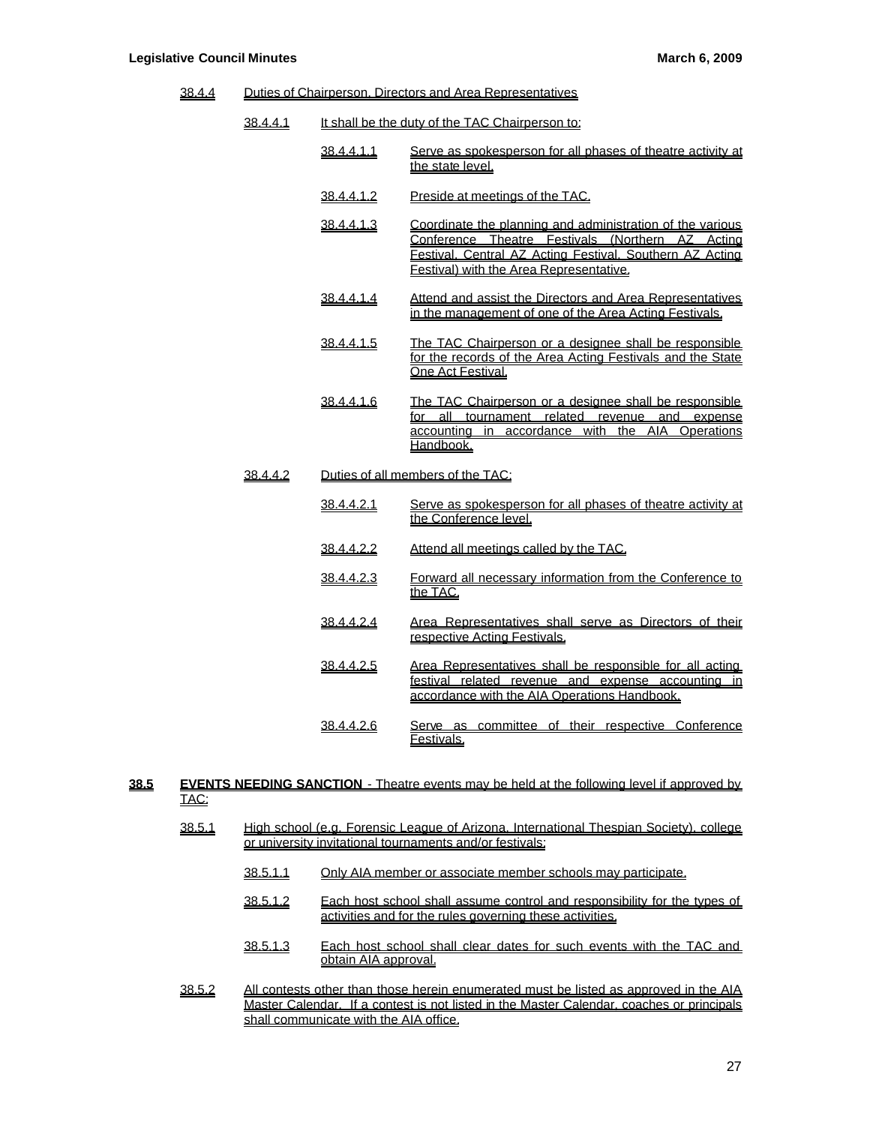38.4.4 Duties of Chairperson, Directors and Area Representatives

| 38.4.4.1 | It shall be the duty of the TAC Chairperson to: |                                                                                                                                                                                                                      |  |  |
|----------|-------------------------------------------------|----------------------------------------------------------------------------------------------------------------------------------------------------------------------------------------------------------------------|--|--|
|          | <u>38.4.4.1.1</u>                               | Serve as spokesperson for all phases of theatre activity at<br>the state level.                                                                                                                                      |  |  |
|          | <u>38.4.4.1.2</u>                               | Preside at meetings of the TAC.                                                                                                                                                                                      |  |  |
|          | <u>38.4.4.1.3</u>                               | Coordinate the planning and administration of the various<br>Conference Theatre Festivals (Northern AZ Acting<br>Festival. Central AZ Acting Festival. Southern AZ Acting<br>Festival) with the Area Representative. |  |  |
|          | 38.4.4.1.4                                      | Attend and assist the Directors and Area Representatives<br>in the management of one of the Area Acting Festivals.                                                                                                   |  |  |
|          | <u>38.4.4.1.5</u>                               | The TAC Chairperson or a designee shall be responsible<br>for the records of the Area Acting Festivals and the State<br>One Act Festival.                                                                            |  |  |
|          | 38.4.4.1.6                                      | The TAC Chairperson or a designee shall be responsible<br>for all tournament related revenue and expense<br>accounting in accordance with the AIA Operations<br>Handbook.                                            |  |  |
| 38.4.4.2 |                                                 | Duties of all members of the TAC:                                                                                                                                                                                    |  |  |
|          | <u>38.4.4.2.1</u>                               | Serve as spokesperson for all phases of theatre activity at<br>the Conference level.                                                                                                                                 |  |  |
|          | 38.4.4.2.2                                      | Attend all meetings called by the TAC.                                                                                                                                                                               |  |  |
|          | <u>38.4.4.2.3</u>                               | Forward all necessary information from the Conference to<br>the TAC.                                                                                                                                                 |  |  |
|          | 38.4.4.2.4                                      | Area Representatives shall serve as Directors of their<br>respective Acting Festivals.                                                                                                                               |  |  |
|          | 38.4.4.2.5                                      | Area Representatives shall be responsible for all acting<br>festival related revenue and expense accounting in<br>accordance with the AIA Operations Handbook.                                                       |  |  |
|          | <u>38.4.4.2.6</u>                               | Serve as committee of their respective Conference<br>Festivals.                                                                                                                                                      |  |  |

### **38.5 EVENTS NEEDING SANCTION** - Theatre events may be held at the following level if approved by TAC:

- 38.5.1 High school (e.g. Forensic League of Arizona, International Thespian Society), college or university invitational tournaments and/or festivals:
	- 38.5.1.1 Only AIA member or associate member schools may participate.
	- 38.5.1.2 Each host school shall assume control and responsibility for the types of activities and for the rules governing these activities.
	- 38.5.1.3 Each host school shall clear dates for such events with the TAC and obtain AIA approval.
- 38.5.2 All contests other than those herein enumerated must be listed as approved in the AIA Master Calendar. If a contest is not listed in the Master Calendar, coaches or principals shall communicate with the AIA office.